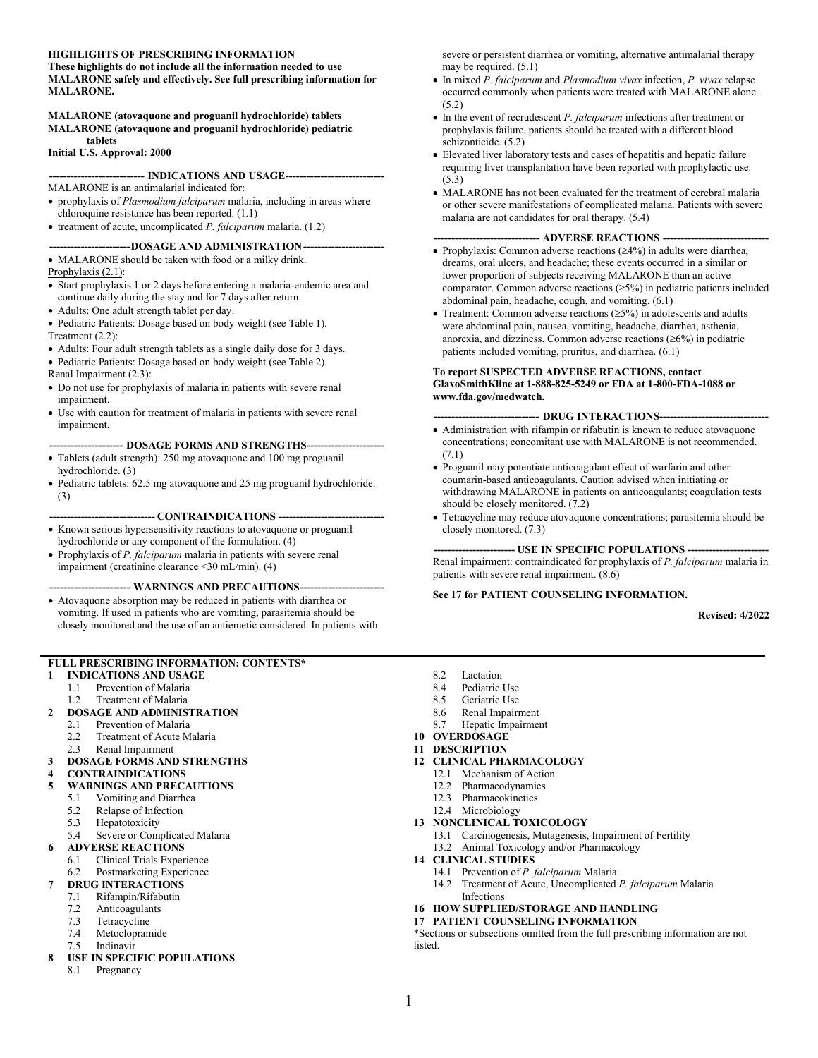### **HIGHLIGHTS OF PRESCRIBING INFORMATION**

**These highlights do not include all the information needed to use MALARONE safely and effectively. See full prescribing information for MALARONE.**

#### **MALARONE (atovaquone and proguanil hydrochloride) tablets MALARONE (atovaquone and proguanil hydrochloride) pediatric tablets**

**Initial U.S. Approval: 2000**

**--------------------------- INDICATIONS AND USAGE----------------------------**

MALARONE is an antimalarial indicated for:

- prophylaxis of *Plasmodium falciparum* malaria, including in areas where chloroquine resistance has been reported. (1.1)
- treatment of acute, uncomplicated *P. falciparum* malaria. (1.2)

### --DOSAGE AND ADMINISTRATION--

• MALARONE should be taken with food or a milky drink.

- Prophylaxis  $(2.1)$ :
- Start prophylaxis 1 or 2 days before entering a malaria-endemic area and continue daily during the stay and for 7 days after return.
- Adults: One adult strength tablet per day.
- Pediatric Patients: Dosage based on body weight (see Table 1). Treatment (2.2):
- Adults: Four adult strength tablets as a single daily dose for 3 days.
- Pediatric Patients: Dosage based on body weight (see Table 2).
- Renal Impairment (2.3):
- Do not use for prophylaxis of malaria in patients with severe renal impairment.
- Use with caution for treatment of malaria in patients with severe renal impairment.

### --- **DOSAGE FORMS AND STRENGTHS---**

- Tablets (adult strength): 250 mg atovaquone and 100 mg proguanil hydrochloride. (3)
- Pediatric tablets: 62.5 mg atovaquone and 25 mg proguanil hydrochloride. (3)

**------------------------------ CONTRAINDICATIONS ------------------------------**

- Known serious hypersensitivity reactions to atovaquone or proguanil hydrochloride or any component of the formulation. (4)
- Prophylaxis of *P. falciparum* malaria in patients with severe renal impairment (creatinine clearance <30 mL/min). (4)

### -- WARNINGS AND PRECAUTIONS--

• Atovaquone absorption may be reduced in patients with diarrhea or vomiting. If used in patients who are vomiting, parasitemia should be closely monitored and the use of an antiemetic considered. In patients with

### **FULL PRESCRIBING INFORMATION: CONTENTS\***

- **1 [INDICATIONS AND USAGE](#page-1-0)**
	- 1.1 [Prevention of Malaria](#page-1-1)
	- 1.2 [Treatment of Malaria](#page-1-2)

### **2 [DOSAGE AND ADMINISTRATION](#page-1-3)**

- 2.1 [Prevention of Malaria](#page-1-4)
- 2.2 [Treatment of Acute Malaria](#page-2-0)<br>2.3 Renal Impairment
- [Renal Impairment](#page-2-1)
- **3 [DOSAGE FORMS AND STRENGTHS](#page-3-0)**
- **4 [CONTRAINDICATIONS](#page-3-1)**
- **5 [WARNINGS AND PRECAUTIONS](#page-3-2)**
	- 5.1 [Vomiting and Diarrhea](#page-3-3)
	- 5.2 [Relapse of Infection](#page-3-4)<br>5.3 Henatotoxicity
	-
	- 5.3 [Hepatotoxicity](#page-4-0)<br>5.4 Severe or Com [Severe or Complicated Malaria](#page-4-1)

### **6 [ADVERSE REACTIONS](#page-4-2)**

- 6.1 [Clinical Trials Experience](#page-4-3)
- 6.2 [Postmarketing Experience](#page-8-0)

### **7 [DRUG INTERACTIONS](#page-8-1)**

- 7.1 [Rifampin/Rifabutin](#page-8-2)
- 7.2 [Anticoagulants](#page-8-3)<br>7.3 Tetracycline
- [Tetracycline](#page-9-0)
- 7.4 [Metoclopramide](#page-9-1)
- 7.5 [Indinavir](#page-9-2)

### **8 [USE IN SPECIFIC POPULATIONS](#page-9-3)**

8.1 [Pregnancy](#page-9-4)

severe or persistent diarrhea or vomiting, alternative antimalarial therapy may be required. (5.1)

- In mixed *P. falciparum* and *Plasmodium vivax* infection, *P. vivax* relapse occurred commonly when patients were treated with MALARONE alone. (5.2)
- In the event of recrudescent *P. falciparum* infections after treatment or prophylaxis failure, patients should be treated with a different blood schizonticide. (5.2)
- Elevated liver laboratory tests and cases of hepatitis and hepatic failure requiring liver transplantation have been reported with prophylactic use. (5.3)
- MALARONE has not been evaluated for the treatment of cerebral malaria or other severe manifestations of complicated malaria. Patients with severe malaria are not candidates for oral therapy. (5.4)

#### **------------------------------ ADVERSE REACTIONS ------------------------------**

- Prophylaxis: Common adverse reactions (≥4%) in adults were diarrhea, dreams, oral ulcers, and headache; these events occurred in a similar or lower proportion of subjects receiving MALARONE than an active comparator. Common adverse reactions (≥5%) in pediatric patients included abdominal pain, headache, cough, and vomiting. (6.1)
- Treatment: Common adverse reactions  $(\geq 5\%)$  in adolescents and adults were abdominal pain, nausea, vomiting, headache, diarrhea, asthenia, anorexia, and dizziness. Common adverse reactions  $(\geq 6\%)$  in pediatric patients included vomiting, pruritus, and diarrhea. (6.1)

### **To report SUSPECTED ADVERSE REACTIONS, contact GlaxoSmithKline at 1-888-825-5249 or FDA at 1-800-FDA-1088 or www.fda.gov/medwatch.**

### -- **DRUG INTERACTIONS----**

- Administration with rifampin or rifabutin is known to reduce atovaquone concentrations; concomitant use with MALARONE is not recommended. (7.1)
- Proguanil may potentiate anticoagulant effect of warfarin and other coumarin-based anticoagulants. Caution advised when initiating or withdrawing MALARONE in patients on anticoagulants; coagulation tests should be closely monitored. (7.2)
- Tetracycline may reduce atovaquone concentrations; parasitemia should be closely monitored. (7.3)

**----------------------- USE IN SPECIFIC POPULATIONS -----------------------** Renal impairment: contraindicated for prophylaxis of *P. falciparum* malaria in patients with severe renal impairment. (8.6)

### **See 17 for PATIENT COUNSELING INFORMATION.**

**Revised: 4/2022**

- 8.2 [Lactation](#page-11-0)
- 8.4 [Pediatric Use](#page-11-1)
- 8.5 [Geriatric Use](#page-12-0)
- 8.6 [Renal Impairment](#page-12-1)
- 8.7 [Hepatic Impairment](#page-12-2)
- **10 [OVERDOSAGE](#page-12-3)**
- **11 [DESCRIPTION](#page-13-0)**
- **12 [CLINICAL PHARMACOLOGY](#page-14-0)**
	- 12.1 [Mechanism of Action](#page-14-1)
	- 12.2 [Pharmacodynamics](#page-14-2)
	- 12.3 [Pharmacokinetics](#page-14-3)
	- 12.4 [Microbiology](#page-17-0)
- **13 [NONCLINICAL TOXICOLOGY](#page-18-0)**
	- 13.1 [Carcinogenesis, Mutagenesis, Impairment of Fertility](#page-18-1)
	- 13.2 [Animal Toxicology and/or Pharmacology](#page-19-0)
- **14 [CLINICAL STUDIES](#page-20-0)**
	- 14.1 [Prevention of](#page-20-1) *P. falciparum* Malaria
	- 14.2 [Treatment of Acute, Uncomplicated](#page-22-0) *P. falciparum* Malaria [Infections](#page-22-0)
- **16 [HOW SUPPLIED/STORAGE AND HANDLING](#page-24-0)**
- **17 [PATIENT COUNSELING INFORMATION](#page-24-1)**

\*Sections or subsections omitted from the full prescribing information are not listed.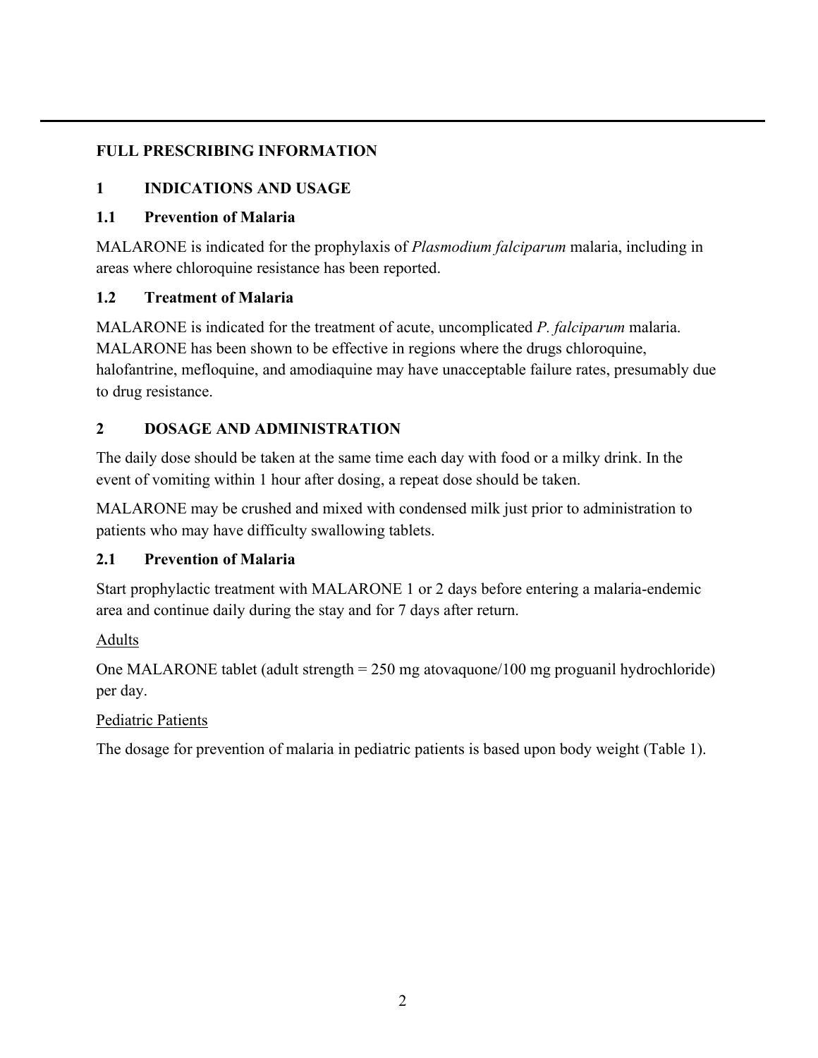# <span id="page-1-0"></span>**FULL PRESCRIBING INFORMATION**

# **1 INDICATIONS AND USAGE**

# <span id="page-1-1"></span>**1.1 Prevention of Malaria**

MALARONE is indicated for the prophylaxis of *Plasmodium falciparum* malaria, including in areas where chloroquine resistance has been reported.

# <span id="page-1-2"></span>**1.2 Treatment of Malaria**

MALARONE is indicated for the treatment of acute, uncomplicated *P. falciparum* malaria. MALARONE has been shown to be effective in regions where the drugs chloroquine, halofantrine, mefloquine, and amodiaquine may have unacceptable failure rates, presumably due to drug resistance.

# <span id="page-1-3"></span>**2 DOSAGE AND ADMINISTRATION**

The daily dose should be taken at the same time each day with food or a milky drink. In the event of vomiting within 1 hour after dosing, a repeat dose should be taken.

MALARONE may be crushed and mixed with condensed milk just prior to administration to patients who may have difficulty swallowing tablets.

# <span id="page-1-4"></span>**2.1 Prevention of Malaria**

Start prophylactic treatment with MALARONE 1 or 2 days before entering a malaria-endemic area and continue daily during the stay and for 7 days after return.

# Adults

One MALARONE tablet (adult strength = 250 mg atovaquone/100 mg proguanil hydrochloride) per day.

# Pediatric Patients

The dosage for prevention of malaria in pediatric patients is based upon body weight (Table 1).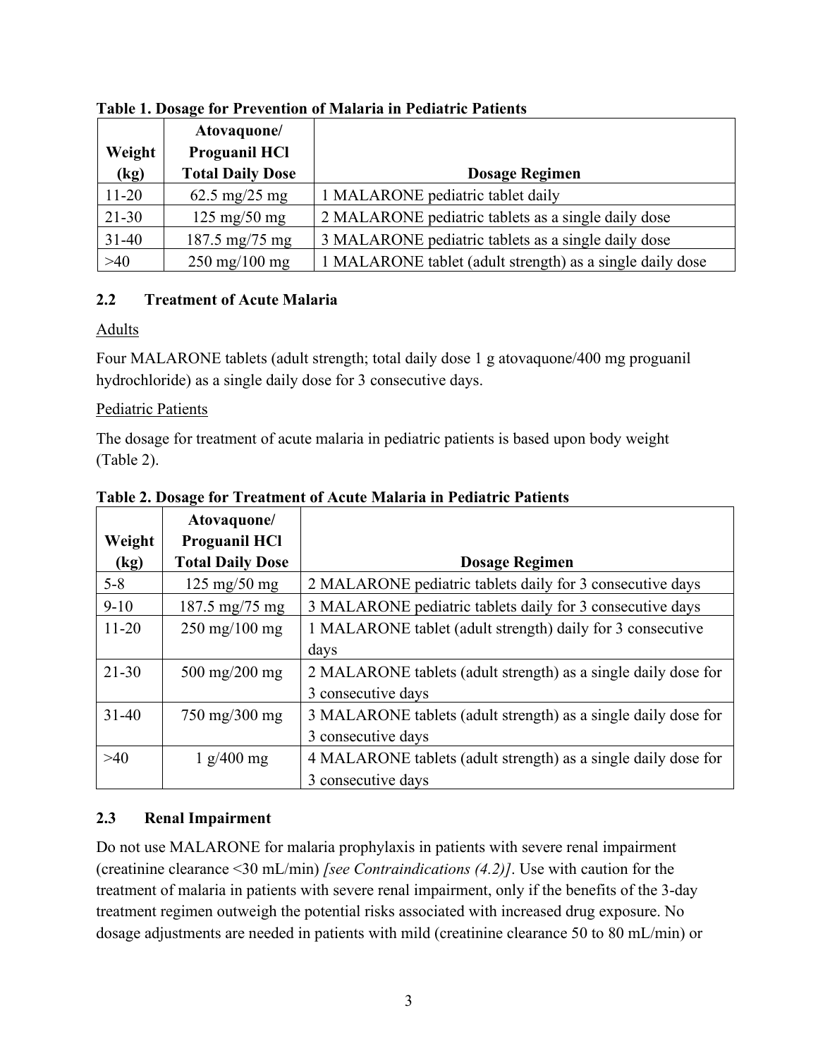| Weight<br>(kg) | Atovaquone/<br><b>Proguanil HCI</b><br><b>Total Daily Dose</b> | <b>Dosage Regimen</b>                                     |
|----------------|----------------------------------------------------------------|-----------------------------------------------------------|
| $11 - 20$      | 62.5 mg/25 mg                                                  | 1 MALARONE pediatric tablet daily                         |
| $21 - 30$      | $125 \text{ mg}/50 \text{ mg}$                                 | 2 MALARONE pediatric tablets as a single daily dose       |
| $31-40$        | $187.5 \text{ mg}/75 \text{ mg}$                               | 3 MALARONE pediatric tablets as a single daily dose       |
| $>40$          | $250 \,\mathrm{mg}/100 \,\mathrm{mg}$                          | 1 MALARONE tablet (adult strength) as a single daily dose |

## **Table 1. Dosage for Prevention of Malaria in Pediatric Patients**

## <span id="page-2-0"></span>**2.2 Treatment of Acute Malaria**

### Adults

Four MALARONE tablets (adult strength; total daily dose 1 g atovaquone/400 mg proguanil hydrochloride) as a single daily dose for 3 consecutive days.

## Pediatric Patients

The dosage for treatment of acute malaria in pediatric patients is based upon body weight (Table 2).

|           | Atovaquone/                           |                                                                |
|-----------|---------------------------------------|----------------------------------------------------------------|
| Weight    | <b>Proguanil HCI</b>                  |                                                                |
| (kg)      | <b>Total Daily Dose</b>               | <b>Dosage Regimen</b>                                          |
| $5 - 8$   | $125 \text{ mg}/50 \text{ mg}$        | 2 MALARONE pediatric tablets daily for 3 consecutive days      |
| $9-10$    | $187.5 \text{ mg}/75 \text{ mg}$      | 3 MALARONE pediatric tablets daily for 3 consecutive days      |
| $11 - 20$ | $250 \,\mathrm{mg}/100 \,\mathrm{mg}$ | 1 MALARONE tablet (adult strength) daily for 3 consecutive     |
|           |                                       | days                                                           |
| $21 - 30$ | $500 \,\mathrm{mg}/200 \,\mathrm{mg}$ | 2 MALARONE tablets (adult strength) as a single daily dose for |
|           |                                       | 3 consecutive days                                             |
| $31 - 40$ | $750 \text{ mg}/300 \text{ mg}$       | 3 MALARONE tablets (adult strength) as a single daily dose for |
|           |                                       | 3 consecutive days                                             |
| >40       | $1$ g/400 mg                          | 4 MALARONE tablets (adult strength) as a single daily dose for |
|           |                                       | 3 consecutive days                                             |

**Table 2. Dosage for Treatment of Acute Malaria in Pediatric Patients**

# <span id="page-2-1"></span>**2.3 Renal Impairment**

Do not use MALARONE for malaria prophylaxis in patients with severe renal impairment (creatinine clearance <30 mL/min) *[see Contraindications (4.2)]*. Use with caution for the treatment of malaria in patients with severe renal impairment, only if the benefits of the 3-day treatment regimen outweigh the potential risks associated with increased drug exposure. No dosage adjustments are needed in patients with mild (creatinine clearance 50 to 80 mL/min) or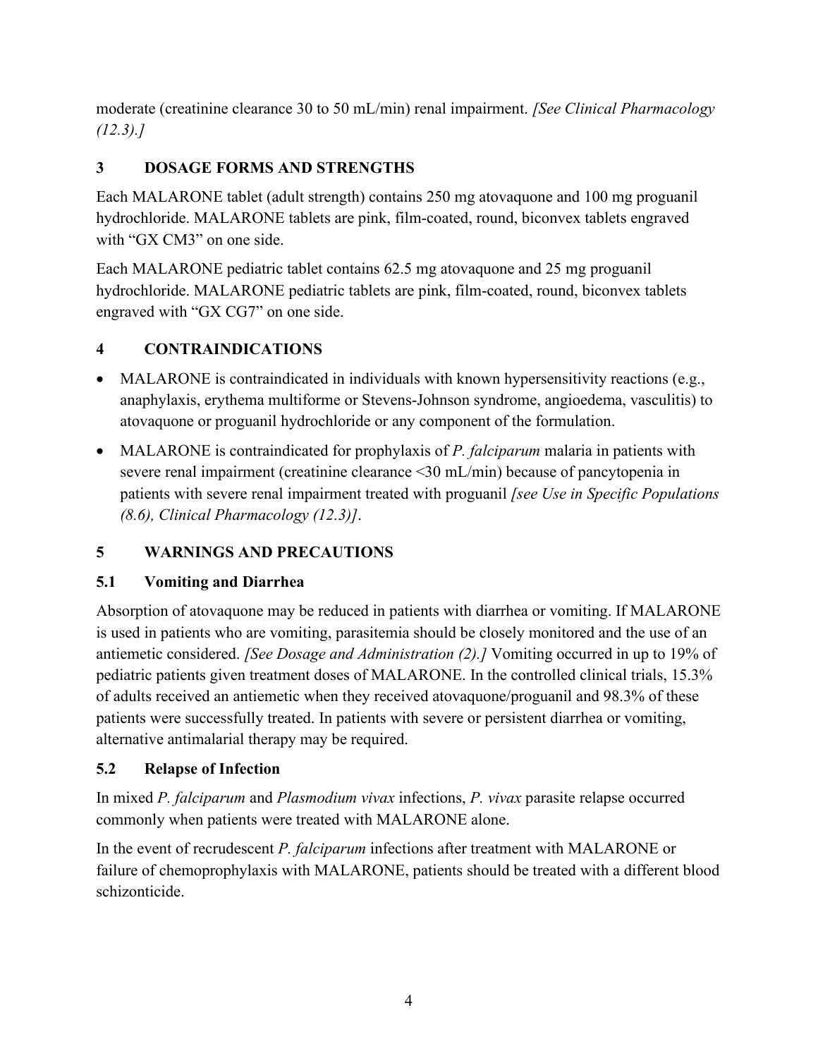moderate (creatinine clearance 30 to 50 mL/min) renal impairment. *[See Clinical Pharmacology (12.3).]*

# <span id="page-3-0"></span>**3 DOSAGE FORMS AND STRENGTHS**

Each MALARONE tablet (adult strength) contains 250 mg atovaquone and 100 mg proguanil hydrochloride. MALARONE tablets are pink, film-coated, round, biconvex tablets engraved with "GX CM3" on one side.

Each MALARONE pediatric tablet contains 62.5 mg atovaquone and 25 mg proguanil hydrochloride. MALARONE pediatric tablets are pink, film-coated, round, biconvex tablets engraved with "GX CG7" on one side.

# <span id="page-3-1"></span>**4 CONTRAINDICATIONS**

- MALARONE is contraindicated in individuals with known hypersensitivity reactions (e.g., anaphylaxis, erythema multiforme or Stevens-Johnson syndrome, angioedema, vasculitis) to atovaquone or proguanil hydrochloride or any component of the formulation.
- MALARONE is contraindicated for prophylaxis of *P. falciparum* malaria in patients with severe renal impairment (creatinine clearance <30 mL/min) because of pancytopenia in patients with severe renal impairment treated with proguanil *[see Use in Specific Populations (8.6), Clinical Pharmacology (12.3)]*.

# <span id="page-3-2"></span>**5 WARNINGS AND PRECAUTIONS**

# <span id="page-3-3"></span>**5.1 Vomiting and Diarrhea**

Absorption of atovaquone may be reduced in patients with diarrhea or vomiting. If MALARONE is used in patients who are vomiting, parasitemia should be closely monitored and the use of an antiemetic considered. *[See Dosage and Administration (2).]* Vomiting occurred in up to 19% of pediatric patients given treatment doses of MALARONE. In the controlled clinical trials, 15.3% of adults received an antiemetic when they received atovaquone/proguanil and 98.3% of these patients were successfully treated. In patients with severe or persistent diarrhea or vomiting, alternative antimalarial therapy may be required.

# <span id="page-3-4"></span>**5.2 Relapse of Infection**

In mixed *P. falciparum* and *Plasmodium vivax* infections, *P. vivax* parasite relapse occurred commonly when patients were treated with MALARONE alone.

In the event of recrudescent *P. falciparum* infections after treatment with MALARONE or failure of chemoprophylaxis with MALARONE, patients should be treated with a different blood schizonticide.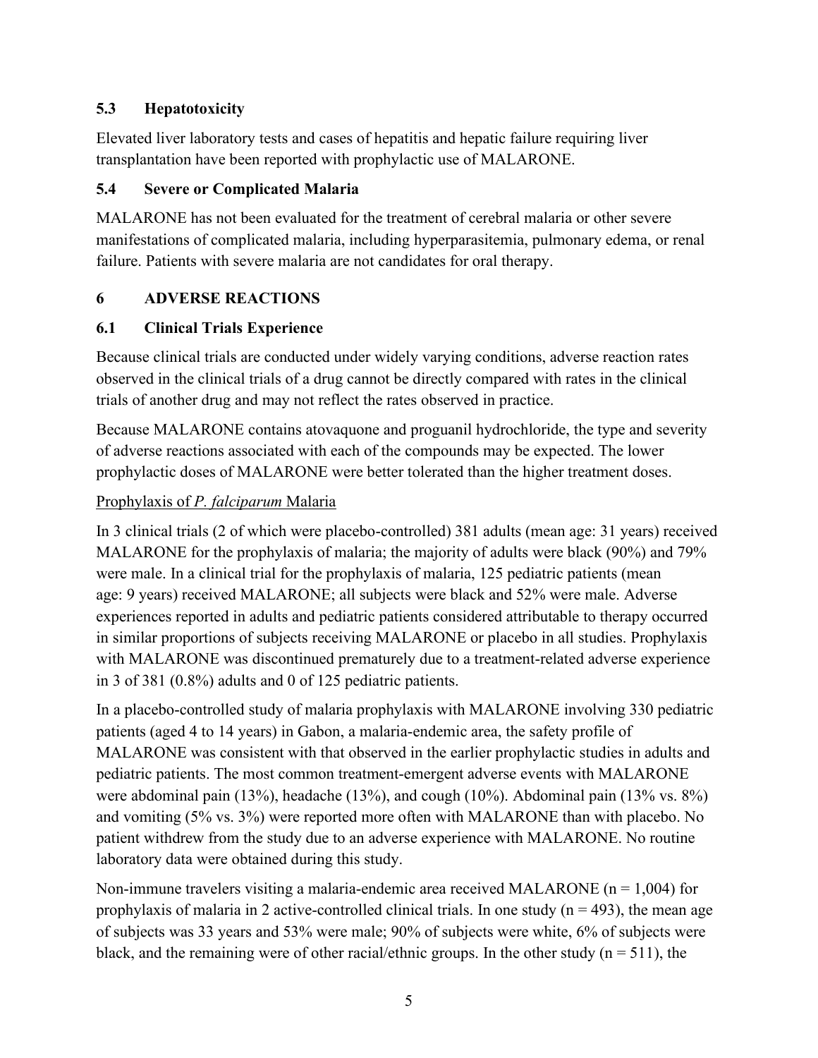# <span id="page-4-0"></span>**5.3 Hepatotoxicity**

Elevated liver laboratory tests and cases of hepatitis and hepatic failure requiring liver transplantation have been reported with prophylactic use of MALARONE.

# <span id="page-4-1"></span>**5.4 Severe or Complicated Malaria**

MALARONE has not been evaluated for the treatment of cerebral malaria or other severe manifestations of complicated malaria, including hyperparasitemia, pulmonary edema, or renal failure. Patients with severe malaria are not candidates for oral therapy.

# <span id="page-4-2"></span>**6 ADVERSE REACTIONS**

# <span id="page-4-3"></span>**6.1 Clinical Trials Experience**

Because clinical trials are conducted under widely varying conditions, adverse reaction rates observed in the clinical trials of a drug cannot be directly compared with rates in the clinical trials of another drug and may not reflect the rates observed in practice.

Because MALARONE contains atovaquone and proguanil hydrochloride, the type and severity of adverse reactions associated with each of the compounds may be expected. The lower prophylactic doses of MALARONE were better tolerated than the higher treatment doses.

# Prophylaxis of *P. falciparum* Malaria

In 3 clinical trials (2 of which were placebo-controlled) 381 adults (mean age: 31 years) received MALARONE for the prophylaxis of malaria; the majority of adults were black (90%) and 79% were male. In a clinical trial for the prophylaxis of malaria, 125 pediatric patients (mean age: 9 years) received MALARONE; all subjects were black and 52% were male. Adverse experiences reported in adults and pediatric patients considered attributable to therapy occurred in similar proportions of subjects receiving MALARONE or placebo in all studies. Prophylaxis with MALARONE was discontinued prematurely due to a treatment-related adverse experience in 3 of 381 (0.8%) adults and 0 of 125 pediatric patients.

In a placebo-controlled study of malaria prophylaxis with MALARONE involving 330 pediatric patients (aged 4 to 14 years) in Gabon, a malaria-endemic area, the safety profile of MALARONE was consistent with that observed in the earlier prophylactic studies in adults and pediatric patients. The most common treatment-emergent adverse events with MALARONE were abdominal pain (13%), headache (13%), and cough (10%). Abdominal pain (13% vs. 8%) and vomiting (5% vs. 3%) were reported more often with MALARONE than with placebo. No patient withdrew from the study due to an adverse experience with MALARONE. No routine laboratory data were obtained during this study.

Non-immune travelers visiting a malaria-endemic area received MALARONE ( $n = 1,004$ ) for prophylaxis of malaria in 2 active-controlled clinical trials. In one study ( $n = 493$ ), the mean age of subjects was 33 years and 53% were male; 90% of subjects were white, 6% of subjects were black, and the remaining were of other racial/ethnic groups. In the other study ( $n = 511$ ), the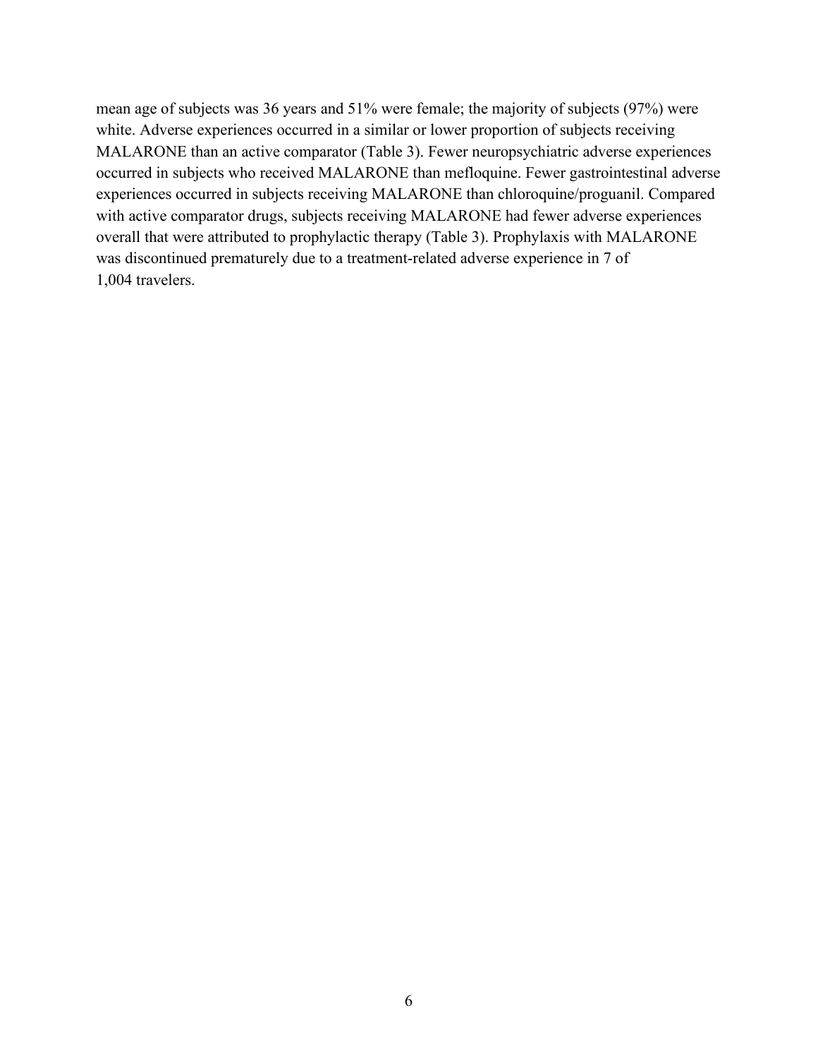mean age of subjects was 36 years and 51% were female; the majority of subjects (97%) were white. Adverse experiences occurred in a similar or lower proportion of subjects receiving MALARONE than an active comparator (Table 3). Fewer neuropsychiatric adverse experiences occurred in subjects who received MALARONE than mefloquine. Fewer gastrointestinal adverse experiences occurred in subjects receiving MALARONE than chloroquine/proguanil. Compared with active comparator drugs, subjects receiving MALARONE had fewer adverse experiences overall that were attributed to prophylactic therapy (Table 3). Prophylaxis with MALARONE was discontinued prematurely due to a treatment-related adverse experience in 7 of 1,004 travelers.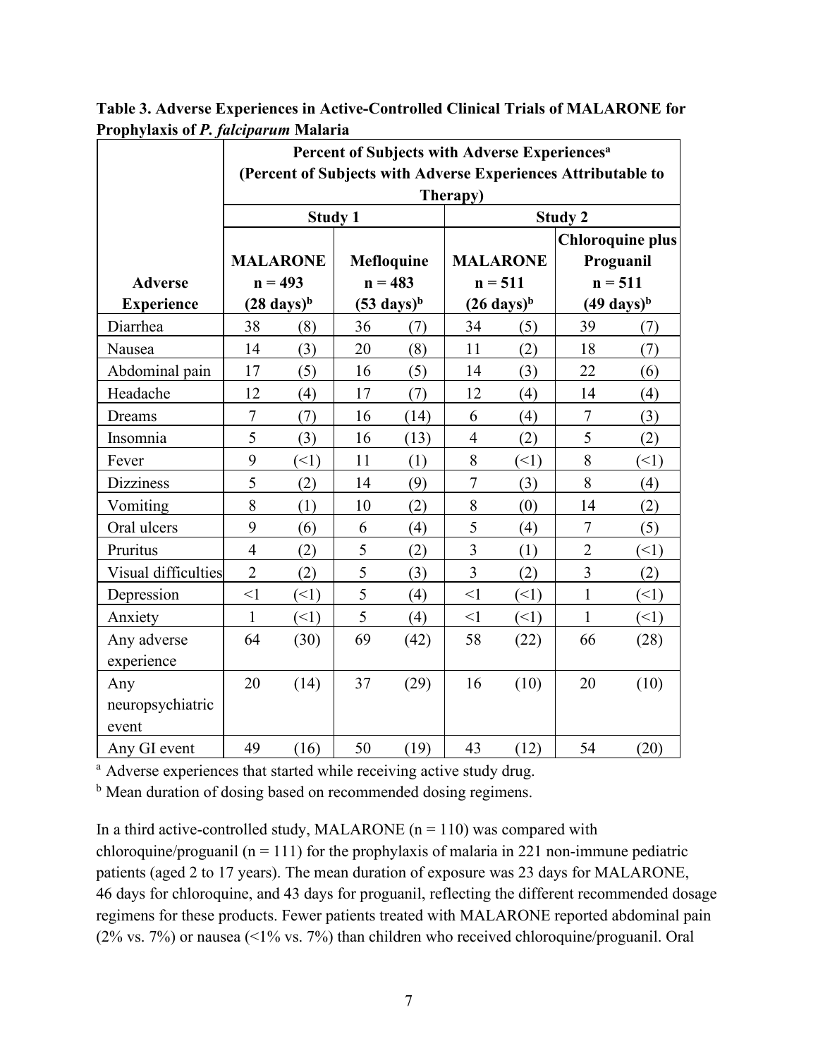|                     | 1 горнуталіз от 1 . <i>јасератат</i> гматагта<br>Percent of Subjects with Adverse Experiences <sup>a</sup> |                       |            |                       |                 |                       |                         |                       |  |
|---------------------|------------------------------------------------------------------------------------------------------------|-----------------------|------------|-----------------------|-----------------|-----------------------|-------------------------|-----------------------|--|
|                     | (Percent of Subjects with Adverse Experiences Attributable to<br>Therapy)                                  |                       |            |                       |                 |                       |                         |                       |  |
| <b>Study 1</b>      |                                                                                                            |                       |            |                       |                 | <b>Study 2</b>        |                         |                       |  |
|                     |                                                                                                            |                       |            |                       |                 |                       | <b>Chloroquine plus</b> |                       |  |
|                     |                                                                                                            | <b>MALARONE</b>       | Mefloquine |                       | <b>MALARONE</b> |                       | Proguanil               |                       |  |
| <b>Adverse</b>      |                                                                                                            | $n = 493$             |            | $n = 483$             |                 | $n = 511$             |                         | $n = 511$             |  |
| <b>Experience</b>   |                                                                                                            | $(28 \text{ days})^b$ |            | $(53 \text{ days})^b$ |                 | $(26 \text{ days})^b$ |                         | $(49 \text{ days})^b$ |  |
| Diarrhea            | 38                                                                                                         | (8)                   | 36         | (7)                   | 34              | (5)                   | 39                      | (7)                   |  |
| Nausea              | 14                                                                                                         | (3)                   | 20         | (8)                   | 11              | (2)                   | 18                      | (7)                   |  |
| Abdominal pain      | 17                                                                                                         | (5)                   | 16         | (5)                   | 14              | (3)                   | 22                      | (6)                   |  |
| Headache            | 12                                                                                                         | (4)                   | 17         | (7)                   | 12              | (4)                   | 14                      | (4)                   |  |
| Dreams              | $\overline{7}$                                                                                             | (7)                   | 16         | (14)                  | 6               | (4)                   | $\overline{7}$          | (3)                   |  |
| Insomnia            | 5                                                                                                          | (3)                   | 16         | (13)                  | $\overline{4}$  | (2)                   | 5                       | (2)                   |  |
| Fever               | 9                                                                                                          | (1)                   | 11         | (1)                   | 8               | (1)                   | 8                       | (1)                   |  |
| <b>Dizziness</b>    | 5                                                                                                          | (2)                   | 14         | (9)                   | $\overline{7}$  | (3)                   | 8                       | (4)                   |  |
| Vomiting            | 8                                                                                                          | (1)                   | 10         | (2)                   | 8               | (0)                   | 14                      | (2)                   |  |
| Oral ulcers         | 9                                                                                                          | (6)                   | 6          | (4)                   | 5               | (4)                   | $\tau$                  | (5)                   |  |
| Pruritus            | $\overline{4}$                                                                                             | (2)                   | 5          | (2)                   | $\overline{3}$  | (1)                   | $\overline{2}$          | (1)                   |  |
| Visual difficulties | $\overline{2}$                                                                                             | (2)                   | 5          | (3)                   | $\overline{3}$  | (2)                   | $\overline{3}$          | (2)                   |  |
| Depression          | $\leq$ 1                                                                                                   | (1)                   | 5          | (4)                   | $\leq$ 1        | (1)                   | $\mathbf{1}$            | (1)                   |  |
| Anxiety             | $\mathbf{1}$                                                                                               | (<1)                  | 5          | (4)                   | $\leq$ 1        | (                     | $\mathbf{1}$            | (1)                   |  |
| Any adverse         | 64                                                                                                         | (30)                  | 69         | (42)                  | 58              | (22)                  | 66                      | (28)                  |  |
| experience          |                                                                                                            |                       |            |                       |                 |                       |                         |                       |  |
| Any                 | 20                                                                                                         | (14)                  | 37         | (29)                  | 16              | (10)                  | 20                      | (10)                  |  |
| neuropsychiatric    |                                                                                                            |                       |            |                       |                 |                       |                         |                       |  |
| event               |                                                                                                            |                       |            |                       |                 |                       |                         |                       |  |
| Any GI event        | 49                                                                                                         | (16)                  | 50         | (19)                  | 43              | (12)                  | 54                      | (20)                  |  |

**Table 3. Adverse Experiences in Active-Controlled Clinical Trials of MALARONE for Prophylaxis of** *P. falciparum* **Malaria**

<sup>a</sup> Adverse experiences that started while receiving active study drug.

<sup>b</sup> Mean duration of dosing based on recommended dosing regimens.

In a third active-controlled study, MALARONE ( $n = 110$ ) was compared with chloroquine/proguanil ( $n = 111$ ) for the prophylaxis of malaria in 221 non-immune pediatric patients (aged 2 to 17 years). The mean duration of exposure was 23 days for MALARONE, 46 days for chloroquine, and 43 days for proguanil, reflecting the different recommended dosage regimens for these products. Fewer patients treated with MALARONE reported abdominal pain (2% vs. 7%) or nausea (<1% vs. 7%) than children who received chloroquine/proguanil. Oral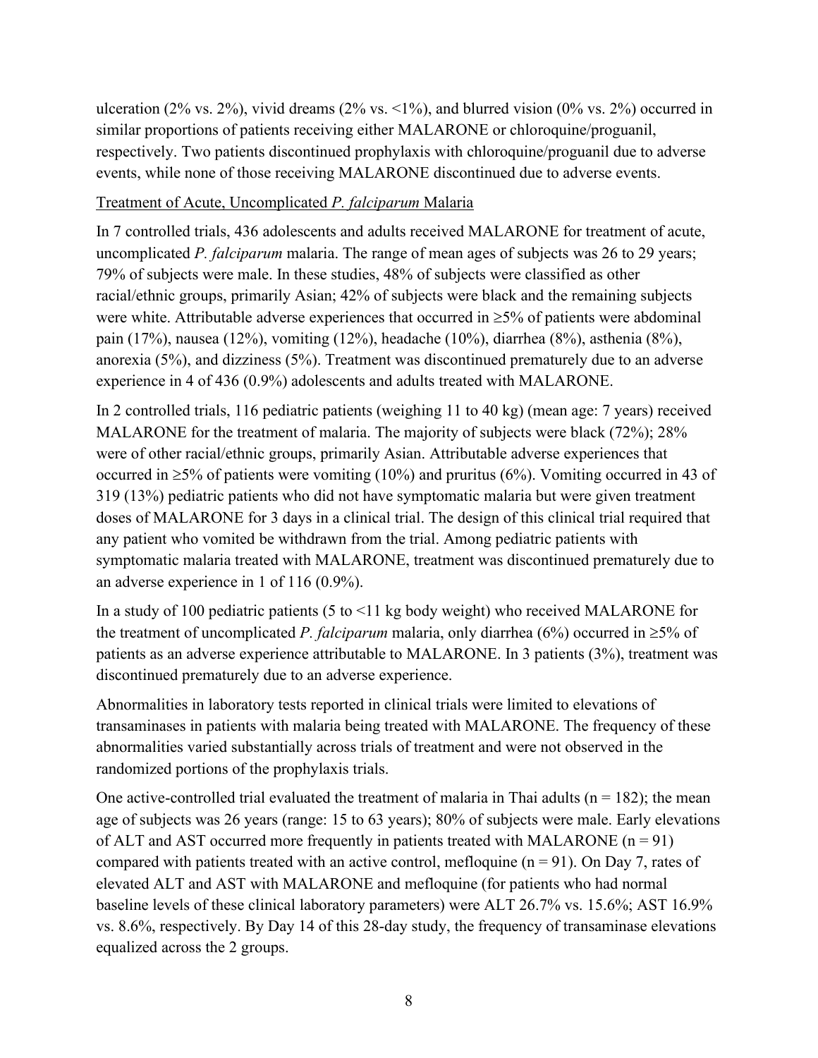ulceration (2% vs. 2%), vivid dreams (2% vs.  $\langle 1\% \rangle$ , and blurred vision (0% vs. 2%) occurred in similar proportions of patients receiving either MALARONE or chloroquine/proguanil, respectively. Two patients discontinued prophylaxis with chloroquine/proguanil due to adverse events, while none of those receiving MALARONE discontinued due to adverse events.

### Treatment of Acute, Uncomplicated *P. falciparum* Malaria

In 7 controlled trials, 436 adolescents and adults received MALARONE for treatment of acute, uncomplicated *P. falciparum* malaria. The range of mean ages of subjects was 26 to 29 years; 79% of subjects were male. In these studies, 48% of subjects were classified as other racial/ethnic groups, primarily Asian; 42% of subjects were black and the remaining subjects were white. Attributable adverse experiences that occurred in ≥5% of patients were abdominal pain (17%), nausea (12%), vomiting (12%), headache (10%), diarrhea (8%), asthenia (8%), anorexia (5%), and dizziness (5%). Treatment was discontinued prematurely due to an adverse experience in 4 of 436 (0.9%) adolescents and adults treated with MALARONE.

In 2 controlled trials, 116 pediatric patients (weighing 11 to 40 kg) (mean age: 7 years) received MALARONE for the treatment of malaria. The majority of subjects were black (72%); 28% were of other racial/ethnic groups, primarily Asian. Attributable adverse experiences that occurred in  $\geq 5\%$  of patients were vomiting (10%) and pruritus (6%). Vomiting occurred in 43 of 319 (13%) pediatric patients who did not have symptomatic malaria but were given treatment doses of MALARONE for 3 days in a clinical trial. The design of this clinical trial required that any patient who vomited be withdrawn from the trial. Among pediatric patients with symptomatic malaria treated with MALARONE, treatment was discontinued prematurely due to an adverse experience in 1 of 116 (0.9%).

In a study of 100 pediatric patients (5 to <11 kg body weight) who received MALARONE for the treatment of uncomplicated *P. falciparum* malaria, only diarrhea (6%) occurred in  $\geq$ 5% of patients as an adverse experience attributable to MALARONE. In 3 patients (3%), treatment was discontinued prematurely due to an adverse experience.

Abnormalities in laboratory tests reported in clinical trials were limited to elevations of transaminases in patients with malaria being treated with MALARONE. The frequency of these abnormalities varied substantially across trials of treatment and were not observed in the randomized portions of the prophylaxis trials.

One active-controlled trial evaluated the treatment of malaria in Thai adults ( $n = 182$ ); the mean age of subjects was 26 years (range: 15 to 63 years); 80% of subjects were male. Early elevations of ALT and AST occurred more frequently in patients treated with MALARONE  $(n = 91)$ compared with patients treated with an active control, mefloquine  $(n = 91)$ . On Day 7, rates of elevated ALT and AST with MALARONE and mefloquine (for patients who had normal baseline levels of these clinical laboratory parameters) were ALT 26.7% vs. 15.6%; AST 16.9% vs. 8.6%, respectively. By Day 14 of this 28-day study, the frequency of transaminase elevations equalized across the 2 groups.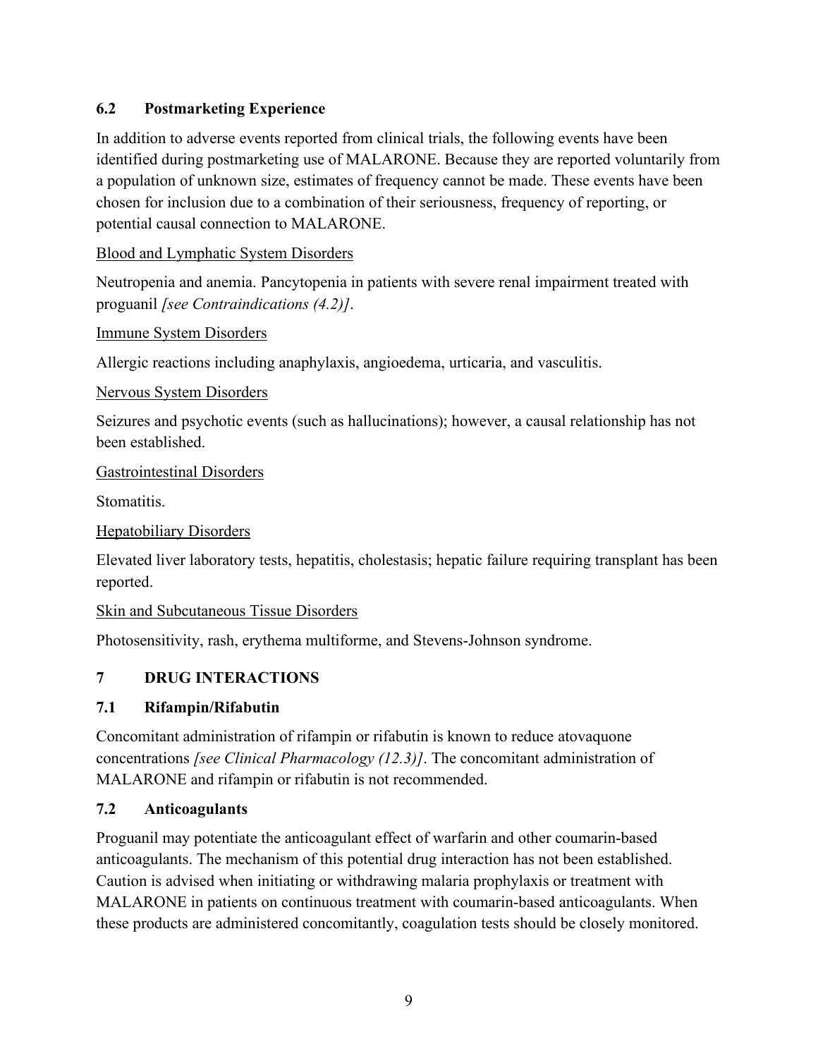# <span id="page-8-0"></span>**6.2 Postmarketing Experience**

In addition to adverse events reported from clinical trials, the following events have been identified during postmarketing use of MALARONE. Because they are reported voluntarily from a population of unknown size, estimates of frequency cannot be made. These events have been chosen for inclusion due to a combination of their seriousness, frequency of reporting, or potential causal connection to MALARONE.

Blood and Lymphatic System Disorders

Neutropenia and anemia. Pancytopenia in patients with severe renal impairment treated with proguanil *[see Contraindications (4.2)]*.

Immune System Disorders

Allergic reactions including anaphylaxis, angioedema, urticaria, and vasculitis.

Nervous System Disorders

Seizures and psychotic events (such as hallucinations); however, a causal relationship has not been established.

Gastrointestinal Disorders

Stomatitis.

Hepatobiliary Disorders

Elevated liver laboratory tests, hepatitis, cholestasis; hepatic failure requiring transplant has been reported.

Skin and Subcutaneous Tissue Disorders

<span id="page-8-1"></span>Photosensitivity, rash, erythema multiforme, and Stevens-Johnson syndrome.

## **7 DRUG INTERACTIONS**

## <span id="page-8-2"></span>**7.1 Rifampin/Rifabutin**

Concomitant administration of rifampin or rifabutin is known to reduce atovaquone concentrations *[see Clinical Pharmacology (12.3)]*. The concomitant administration of MALARONE and rifampin or rifabutin is not recommended.

## <span id="page-8-3"></span>**7.2 Anticoagulants**

Proguanil may potentiate the anticoagulant effect of warfarin and other coumarin-based anticoagulants. The mechanism of this potential drug interaction has not been established. Caution is advised when initiating or withdrawing malaria prophylaxis or treatment with MALARONE in patients on continuous treatment with coumarin-based anticoagulants. When these products are administered concomitantly, coagulation tests should be closely monitored.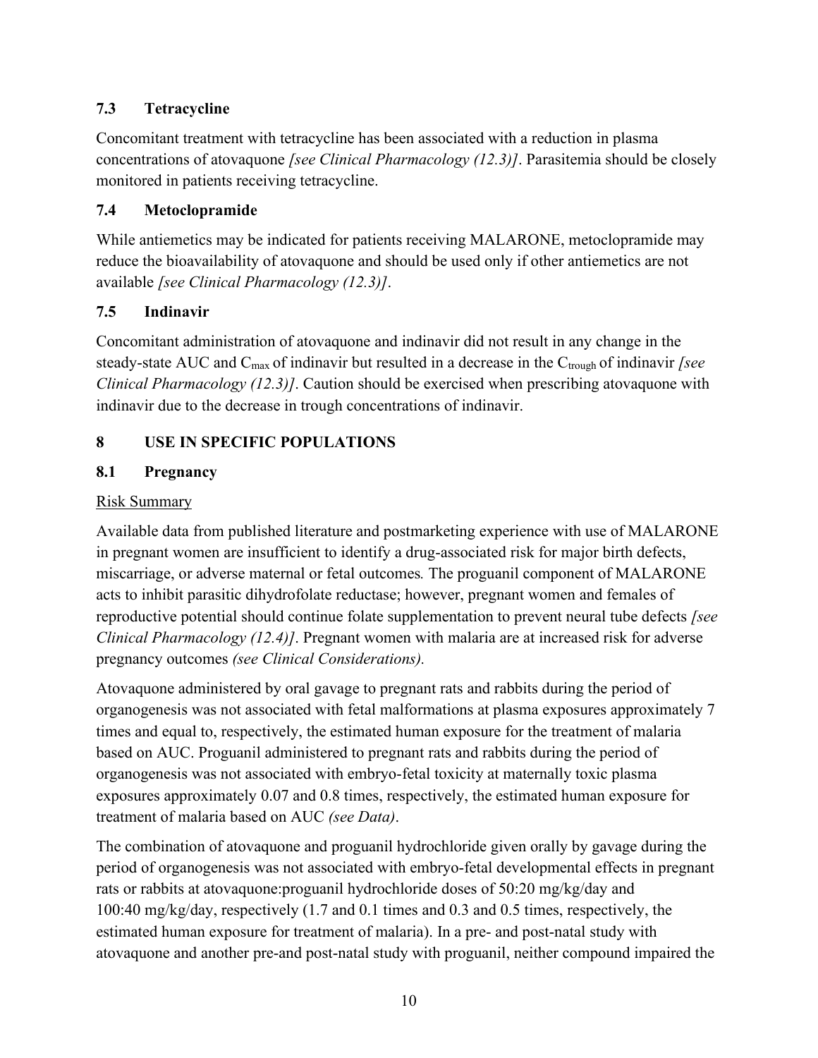# <span id="page-9-0"></span>**7.3 Tetracycline**

Concomitant treatment with tetracycline has been associated with a reduction in plasma concentrations of atovaquone *[see Clinical Pharmacology (12.3)]*. Parasitemia should be closely monitored in patients receiving tetracycline.

# <span id="page-9-1"></span>**7.4 Metoclopramide**

While antiemetics may be indicated for patients receiving MALARONE, metoclopramide may reduce the bioavailability of atovaquone and should be used only if other antiemetics are not available *[see Clinical Pharmacology (12.3)]*.

## <span id="page-9-2"></span>**7.5 Indinavir**

Concomitant administration of atovaquone and indinavir did not result in any change in the steady-state AUC and C<sub>max</sub> of indinavir but resulted in a decrease in the C<sub>trough</sub> of indinavir *[see Clinical Pharmacology (12.3)]*. Caution should be exercised when prescribing atovaquone with indinavir due to the decrease in trough concentrations of indinavir.

# <span id="page-9-3"></span>**8 USE IN SPECIFIC POPULATIONS**

# <span id="page-9-4"></span>**8.1 Pregnancy**

## Risk Summary

Available data from published literature and postmarketing experience with use of MALARONE in pregnant women are insufficient to identify a drug-associated risk for major birth defects, miscarriage, or adverse maternal or fetal outcomes*.* The proguanil component of MALARONE acts to inhibit parasitic dihydrofolate reductase; however, pregnant women and females of reproductive potential should continue folate supplementation to prevent neural tube defects *[see Clinical Pharmacology (12.4)]*. Pregnant women with malaria are at increased risk for adverse pregnancy outcomes *(see Clinical Considerations).*

Atovaquone administered by oral gavage to pregnant rats and rabbits during the period of organogenesis was not associated with fetal malformations at plasma exposures approximately 7 times and equal to, respectively, the estimated human exposure for the treatment of malaria based on AUC. Proguanil administered to pregnant rats and rabbits during the period of organogenesis was not associated with embryo-fetal toxicity at maternally toxic plasma exposures approximately 0.07 and 0.8 times, respectively, the estimated human exposure for treatment of malaria based on AUC *(see Data)*.

The combination of atovaquone and proguanil hydrochloride given orally by gavage during the period of organogenesis was not associated with embryo-fetal developmental effects in pregnant rats or rabbits at atovaquone:proguanil hydrochloride doses of 50:20 mg/kg/day and 100:40 mg/kg/day, respectively (1.7 and 0.1 times and 0.3 and 0.5 times, respectively, the estimated human exposure for treatment of malaria). In a pre- and post-natal study with atovaquone and another pre-and post-natal study with proguanil, neither compound impaired the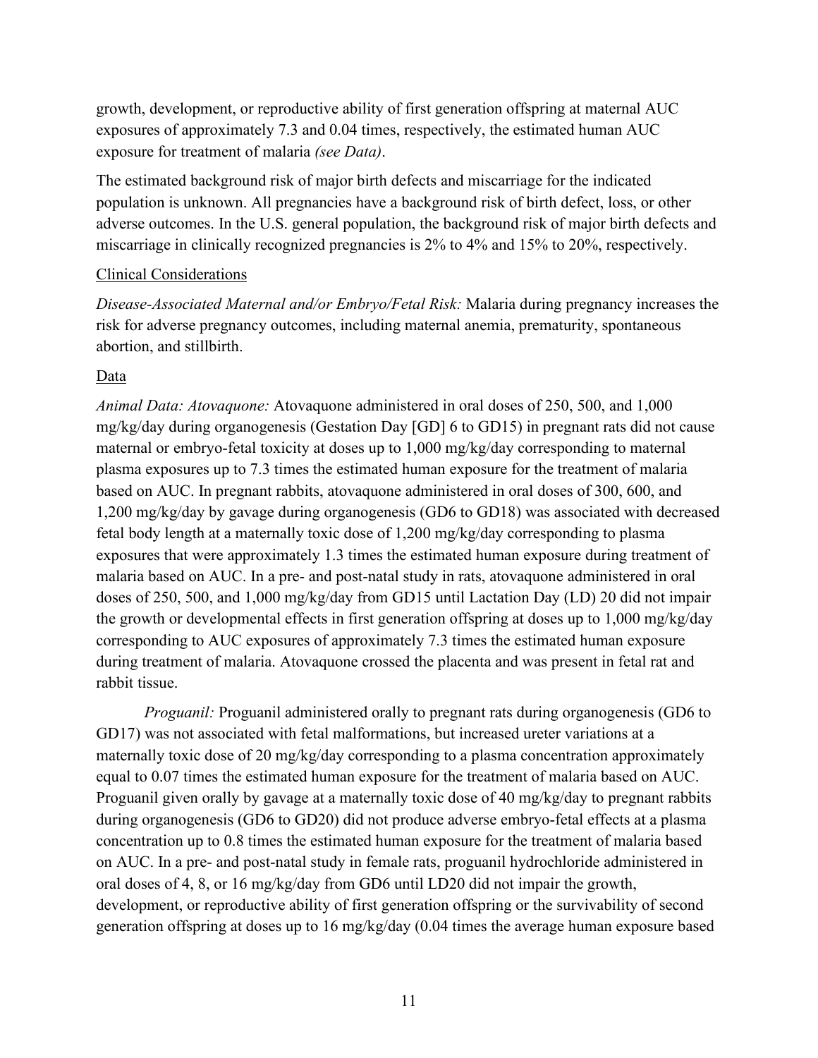growth, development, or reproductive ability of first generation offspring at maternal AUC exposures of approximately 7.3 and 0.04 times, respectively, the estimated human AUC exposure for treatment of malaria *(see Data)*.

The estimated background risk of major birth defects and miscarriage for the indicated population is unknown. All pregnancies have a background risk of birth defect, loss, or other adverse outcomes. In the U.S. general population, the background risk of major birth defects and miscarriage in clinically recognized pregnancies is 2% to 4% and 15% to 20%, respectively.

### Clinical Considerations

*Disease-Associated Maternal and/or Embryo/Fetal Risk:* Malaria during pregnancy increases the risk for adverse pregnancy outcomes, including maternal anemia, prematurity, spontaneous abortion, and stillbirth.

### Data

*Animal Data: Atovaquone:* Atovaquone administered in oral doses of 250, 500, and 1,000 mg/kg/day during organogenesis (Gestation Day [GD] 6 to GD15) in pregnant rats did not cause maternal or embryo-fetal toxicity at doses up to 1,000 mg/kg/day corresponding to maternal plasma exposures up to 7.3 times the estimated human exposure for the treatment of malaria based on AUC. In pregnant rabbits, atovaquone administered in oral doses of 300, 600, and 1,200 mg/kg/day by gavage during organogenesis (GD6 to GD18) was associated with decreased fetal body length at a maternally toxic dose of 1,200 mg/kg/day corresponding to plasma exposures that were approximately 1.3 times the estimated human exposure during treatment of malaria based on AUC. In a pre- and post-natal study in rats, atovaquone administered in oral doses of 250, 500, and 1,000 mg/kg/day from GD15 until Lactation Day (LD) 20 did not impair the growth or developmental effects in first generation offspring at doses up to 1,000 mg/kg/day corresponding to AUC exposures of approximately 7.3 times the estimated human exposure during treatment of malaria. Atovaquone crossed the placenta and was present in fetal rat and rabbit tissue.

*Proguanil:* Proguanil administered orally to pregnant rats during organogenesis (GD6 to GD17) was not associated with fetal malformations, but increased ureter variations at a maternally toxic dose of 20 mg/kg/day corresponding to a plasma concentration approximately equal to 0.07 times the estimated human exposure for the treatment of malaria based on AUC. Proguanil given orally by gavage at a maternally toxic dose of 40 mg/kg/day to pregnant rabbits during organogenesis (GD6 to GD20) did not produce adverse embryo-fetal effects at a plasma concentration up to 0.8 times the estimated human exposure for the treatment of malaria based on AUC. In a pre- and post-natal study in female rats, proguanil hydrochloride administered in oral doses of 4, 8, or 16 mg/kg/day from GD6 until LD20 did not impair the growth, development, or reproductive ability of first generation offspring or the survivability of second generation offspring at doses up to 16 mg/kg/day (0.04 times the average human exposure based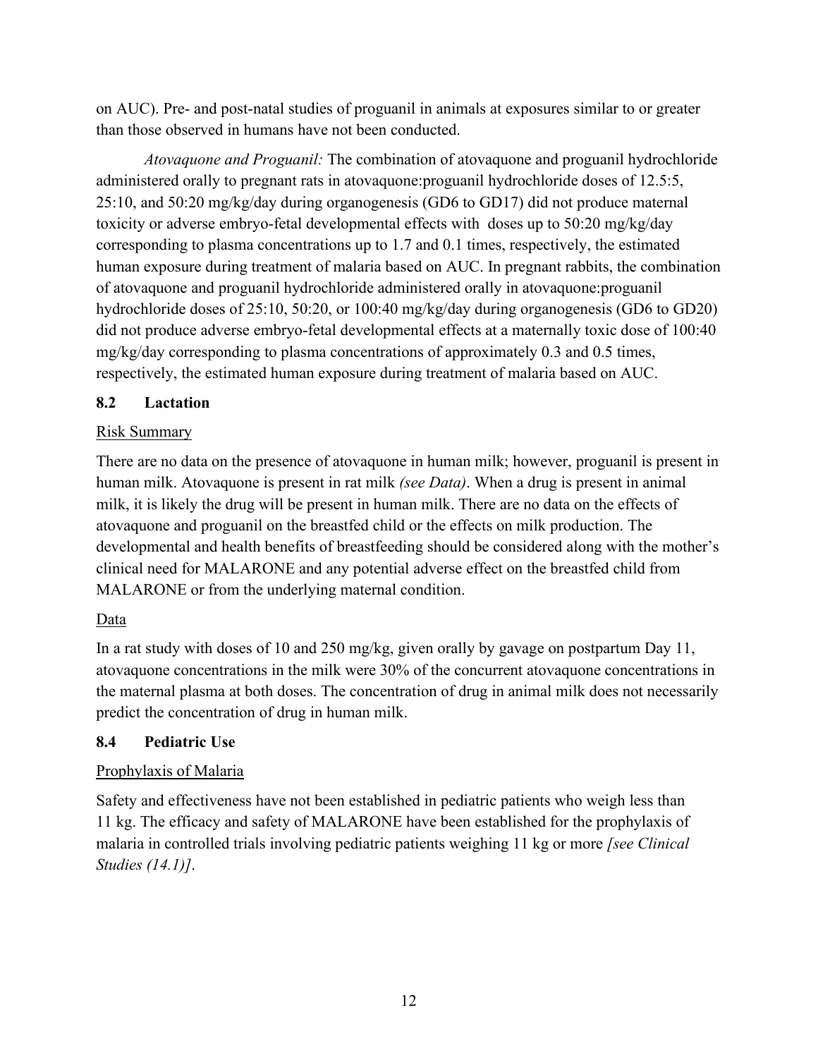on AUC). Pre- and post-natal studies of proguanil in animals at exposures similar to or greater than those observed in humans have not been conducted.

*Atovaquone and Proguanil:* The combination of atovaquone and proguanil hydrochloride administered orally to pregnant rats in atovaquone:proguanil hydrochloride doses of 12.5:5, 25:10, and 50:20 mg/kg/day during organogenesis (GD6 to GD17) did not produce maternal toxicity or adverse embryo-fetal developmental effects with doses up to 50:20 mg/kg/day corresponding to plasma concentrations up to 1.7 and 0.1 times, respectively, the estimated human exposure during treatment of malaria based on AUC. In pregnant rabbits, the combination of atovaquone and proguanil hydrochloride administered orally in atovaquone:proguanil hydrochloride doses of 25:10, 50:20, or 100:40 mg/kg/day during organogenesis (GD6 to GD20) did not produce adverse embryo-fetal developmental effects at a maternally toxic dose of 100:40 mg/kg/day corresponding to plasma concentrations of approximately 0.3 and 0.5 times, respectively, the estimated human exposure during treatment of malaria based on AUC.

### <span id="page-11-0"></span>**8.2 Lactation**

### Risk Summary

There are no data on the presence of atovaquone in human milk; however, proguanil is present in human milk. Atovaquone is present in rat milk *(see Data)*. When a drug is present in animal milk, it is likely the drug will be present in human milk. There are no data on the effects of atovaquone and proguanil on the breastfed child or the effects on milk production. The developmental and health benefits of breastfeeding should be considered along with the mother's clinical need for MALARONE and any potential adverse effect on the breastfed child from MALARONE or from the underlying maternal condition.

## Data

In a rat study with doses of 10 and 250 mg/kg, given orally by gavage on postpartum Day 11, atovaquone concentrations in the milk were 30% of the concurrent atovaquone concentrations in the maternal plasma at both doses. The concentration of drug in animal milk does not necessarily predict the concentration of drug in human milk.

## <span id="page-11-1"></span>**8.4 Pediatric Use**

## Prophylaxis of Malaria

Safety and effectiveness have not been established in pediatric patients who weigh less than 11 kg. The efficacy and safety of MALARONE have been established for the prophylaxis of malaria in controlled trials involving pediatric patients weighing 11 kg or more *[see Clinical Studies (14.1)]*.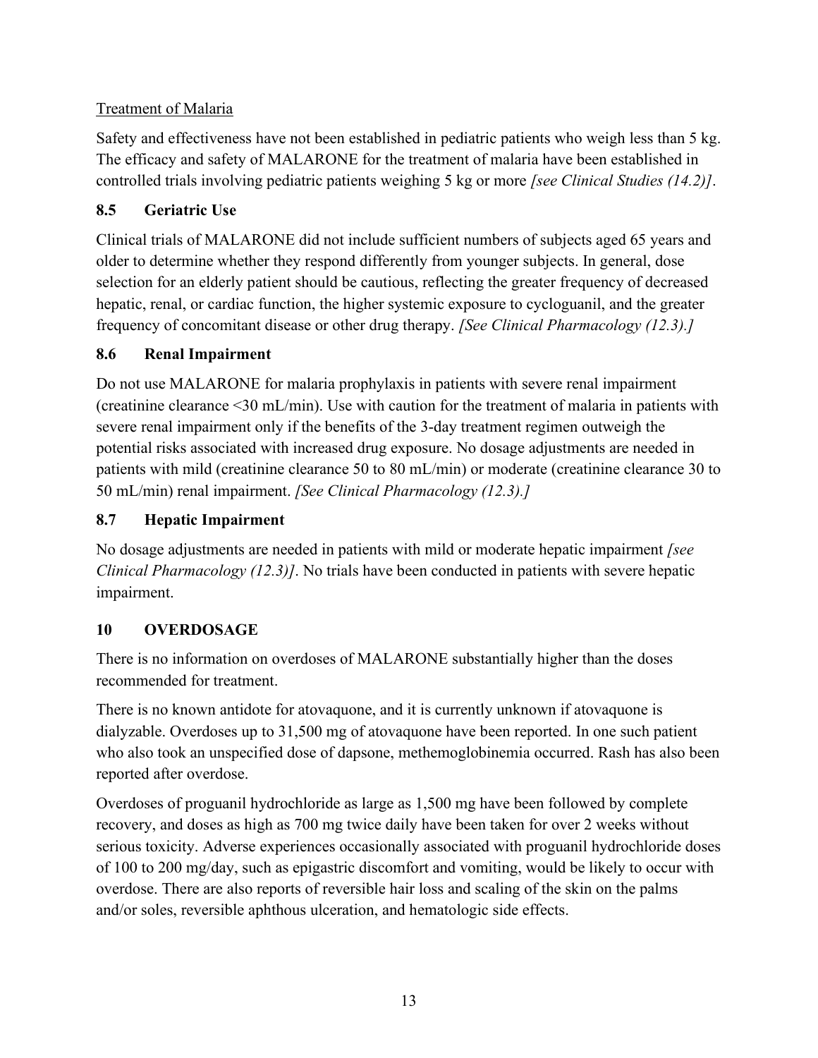# Treatment of Malaria

Safety and effectiveness have not been established in pediatric patients who weigh less than 5 kg. The efficacy and safety of MALARONE for the treatment of malaria have been established in controlled trials involving pediatric patients weighing 5 kg or more *[see Clinical Studies (14.2)]*.

# <span id="page-12-0"></span>**8.5 Geriatric Use**

Clinical trials of MALARONE did not include sufficient numbers of subjects aged 65 years and older to determine whether they respond differently from younger subjects. In general, dose selection for an elderly patient should be cautious, reflecting the greater frequency of decreased hepatic, renal, or cardiac function, the higher systemic exposure to cycloguanil, and the greater frequency of concomitant disease or other drug therapy. *[See Clinical Pharmacology (12.3).]*

# <span id="page-12-1"></span>**8.6 Renal Impairment**

Do not use MALARONE for malaria prophylaxis in patients with severe renal impairment (creatinine clearance <30 mL/min). Use with caution for the treatment of malaria in patients with severe renal impairment only if the benefits of the 3-day treatment regimen outweigh the potential risks associated with increased drug exposure. No dosage adjustments are needed in patients with mild (creatinine clearance 50 to 80 mL/min) or moderate (creatinine clearance 30 to 50 mL/min) renal impairment. *[See Clinical Pharmacology (12.3).]*

# <span id="page-12-2"></span>**8.7 Hepatic Impairment**

No dosage adjustments are needed in patients with mild or moderate hepatic impairment *[see Clinical Pharmacology (12.3)]*. No trials have been conducted in patients with severe hepatic impairment.

# <span id="page-12-3"></span>**10 OVERDOSAGE**

There is no information on overdoses of MALARONE substantially higher than the doses recommended for treatment.

There is no known antidote for atovaquone, and it is currently unknown if atovaquone is dialyzable. Overdoses up to 31,500 mg of atovaquone have been reported. In one such patient who also took an unspecified dose of dapsone, methemoglobinemia occurred. Rash has also been reported after overdose.

Overdoses of proguanil hydrochloride as large as 1,500 mg have been followed by complete recovery, and doses as high as 700 mg twice daily have been taken for over 2 weeks without serious toxicity. Adverse experiences occasionally associated with proguanil hydrochloride doses of 100 to 200 mg/day, such as epigastric discomfort and vomiting, would be likely to occur with overdose. There are also reports of reversible hair loss and scaling of the skin on the palms and/or soles, reversible aphthous ulceration, and hematologic side effects.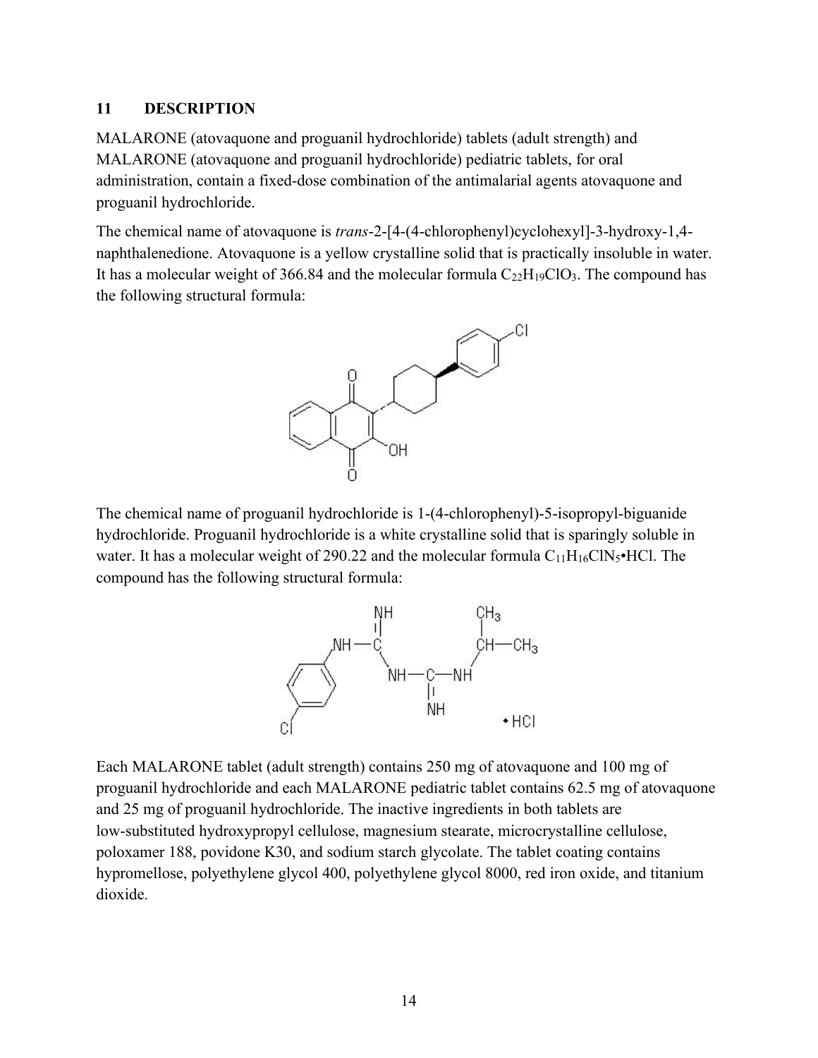### <span id="page-13-0"></span>**11 DESCRIPTION**

MALARONE (atovaquone and proguanil hydrochloride) tablets (adult strength) and MALARONE (atovaquone and proguanil hydrochloride) pediatric tablets, for oral administration, contain a fixed-dose combination of the antimalarial agents atovaquone and proguanil hydrochloride.

The chemical name of atovaquone is *trans*-2-[4-(4-chlorophenyl)cyclohexyl]-3-hydroxy-1,4 naphthalenedione. Atovaquone is a yellow crystalline solid that is practically insoluble in water. It has a molecular weight of 366.84 and the molecular formula  $C_{22}H_{19}ClO_3$ . The compound has the following structural formula:



The chemical name of proguanil hydrochloride is 1-(4-chlorophenyl)-5-isopropyl-biguanide hydrochloride. Proguanil hydrochloride is a white crystalline solid that is sparingly soluble in water. It has a molecular weight of 290.22 and the molecular formula  $C_{11}H_{16}CN_5 \cdot HCl$ . The compound has the following structural formula:



Each MALARONE tablet (adult strength) contains 250 mg of atovaquone and 100 mg of proguanil hydrochloride and each MALARONE pediatric tablet contains 62.5 mg of atovaquone and 25 mg of proguanil hydrochloride. The inactive ingredients in both tablets are low-substituted hydroxypropyl cellulose, magnesium stearate, microcrystalline cellulose, poloxamer 188, povidone K30, and sodium starch glycolate. The tablet coating contains hypromellose, polyethylene glycol 400, polyethylene glycol 8000, red iron oxide, and titanium dioxide.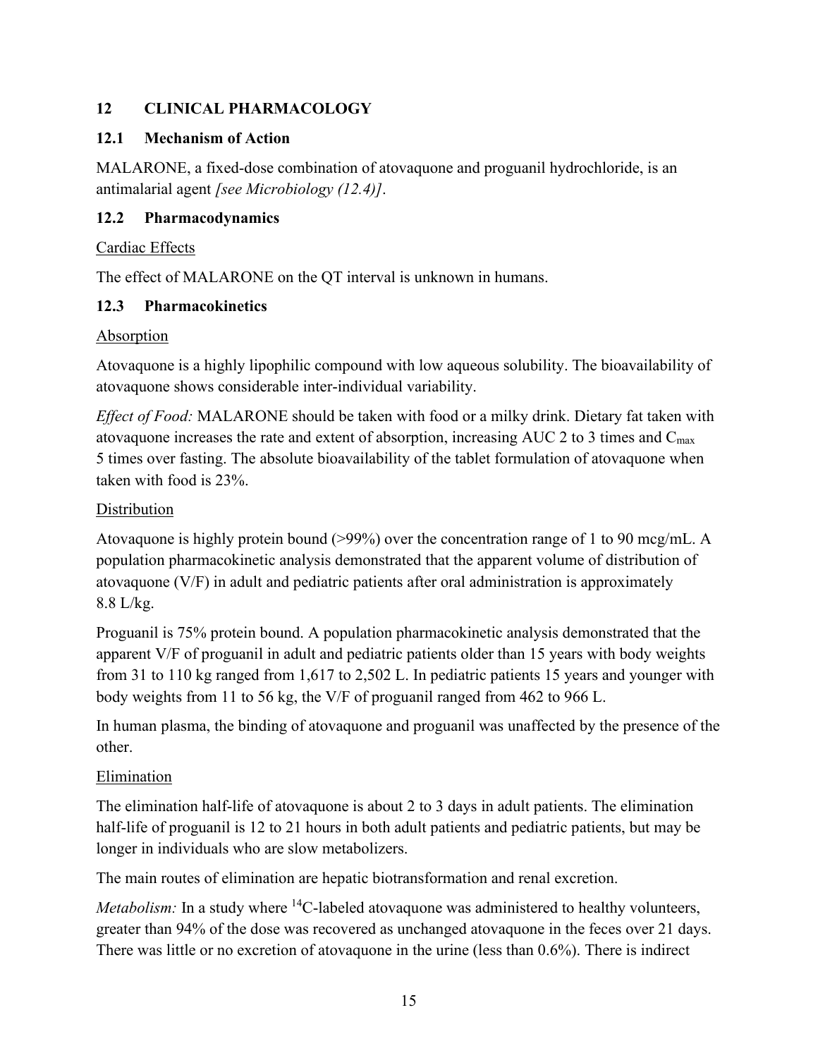# <span id="page-14-0"></span>**12 CLINICAL PHARMACOLOGY**

### <span id="page-14-1"></span>**12.1 Mechanism of Action**

MALARONE, a fixed-dose combination of atovaquone and proguanil hydrochloride, is an antimalarial agent *[see Microbiology (12.4)]*.

### <span id="page-14-2"></span>**12.2 Pharmacodynamics**

### Cardiac Effects

The effect of MALARONE on the QT interval is unknown in humans.

### <span id="page-14-3"></span>**12.3 Pharmacokinetics**

### Absorption

Atovaquone is a highly lipophilic compound with low aqueous solubility. The bioavailability of atovaquone shows considerable inter-individual variability.

*Effect of Food:* MALARONE should be taken with food or a milky drink. Dietary fat taken with atovaquone increases the rate and extent of absorption, increasing AUC 2 to 3 times and Cmax 5 times over fasting. The absolute bioavailability of the tablet formulation of atovaquone when taken with food is 23%.

## Distribution

Atovaquone is highly protein bound (>99%) over the concentration range of 1 to 90 mcg/mL. A population pharmacokinetic analysis demonstrated that the apparent volume of distribution of atovaquone (V/F) in adult and pediatric patients after oral administration is approximately 8.8 L/kg.

Proguanil is 75% protein bound. A population pharmacokinetic analysis demonstrated that the apparent V/F of proguanil in adult and pediatric patients older than 15 years with body weights from 31 to 110 kg ranged from 1,617 to 2,502 L. In pediatric patients 15 years and younger with body weights from 11 to 56 kg, the V/F of proguanil ranged from 462 to 966 L.

In human plasma, the binding of atovaquone and proguanil was unaffected by the presence of the other.

## Elimination

The elimination half-life of atovaquone is about 2 to 3 days in adult patients. The elimination half-life of proguanil is 12 to 21 hours in both adult patients and pediatric patients, but may be longer in individuals who are slow metabolizers.

The main routes of elimination are hepatic biotransformation and renal excretion.

*Metabolism:* In a study where <sup>14</sup>C-labeled atovaquone was administered to healthy volunteers, greater than 94% of the dose was recovered as unchanged atovaquone in the feces over 21 days. There was little or no excretion of atovaquone in the urine (less than 0.6%). There is indirect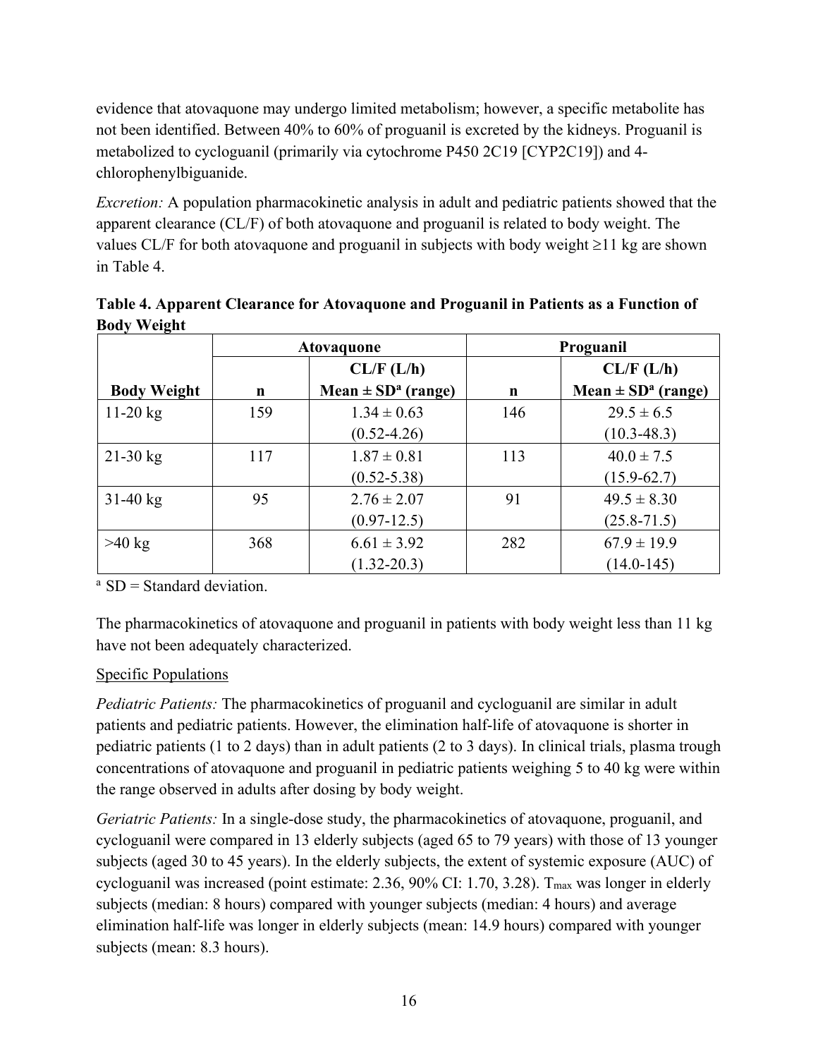evidence that atovaquone may undergo limited metabolism; however, a specific metabolite has not been identified. Between 40% to 60% of proguanil is excreted by the kidneys. Proguanil is metabolized to cycloguanil (primarily via cytochrome P450 2C19 [CYP2C19]) and 4 chlorophenylbiguanide.

*Excretion:* A population pharmacokinetic analysis in adult and pediatric patients showed that the apparent clearance (CL/F) of both atovaquone and proguanil is related to body weight. The values CL/F for both atovaquone and proguanil in subjects with body weight ≥11 kg are shown in Table 4.

| Table 4. Apparent Clearance for Atovaquone and Proguanil in Patients as a Function of |
|---------------------------------------------------------------------------------------|
| <b>Body Weight</b>                                                                    |

|                    | <b>Atovaquone</b> |                                    | Proguanil   |                                    |  |
|--------------------|-------------------|------------------------------------|-------------|------------------------------------|--|
|                    |                   | CL/F (L/h)                         |             | CL/F (L/h)                         |  |
| <b>Body Weight</b> | n                 | Mean $\pm$ SD <sup>a</sup> (range) | $\mathbf n$ | Mean $\pm$ SD <sup>a</sup> (range) |  |
| $11-20$ kg         | 159               | $1.34 \pm 0.63$                    | 146         | $29.5 \pm 6.5$                     |  |
|                    |                   | $(0.52 - 4.26)$                    |             | $(10.3 - 48.3)$                    |  |
| $21-30$ kg         | 117               | $1.87 \pm 0.81$                    | 113         | $40.0 \pm 7.5$                     |  |
|                    |                   | $(0.52 - 5.38)$                    |             | $(15.9 - 62.7)$                    |  |
| $31-40$ kg         | 95                | $2.76 \pm 2.07$                    | 91          | $49.5 \pm 8.30$                    |  |
|                    |                   | $(0.97-12.5)$                      |             | $(25.8 - 71.5)$                    |  |
| $>40$ kg           | 368               | $6.61 \pm 3.92$                    | 282         | $67.9 \pm 19.9$                    |  |
|                    |                   | $(1.32 - 20.3)$                    |             | $(14.0 - 145)$                     |  |

 $a$  SD = Standard deviation.

The pharmacokinetics of atovaquone and proguanil in patients with body weight less than 11 kg have not been adequately characterized.

## Specific Populations

*Pediatric Patients:* The pharmacokinetics of proguanil and cycloguanil are similar in adult patients and pediatric patients. However, the elimination half-life of atovaquone is shorter in pediatric patients (1 to 2 days) than in adult patients (2 to 3 days). In clinical trials, plasma trough concentrations of atovaquone and proguanil in pediatric patients weighing 5 to 40 kg were within the range observed in adults after dosing by body weight.

*Geriatric Patients:* In a single-dose study, the pharmacokinetics of atovaquone, proguanil, and cycloguanil were compared in 13 elderly subjects (aged 65 to 79 years) with those of 13 younger subjects (aged 30 to 45 years). In the elderly subjects, the extent of systemic exposure (AUC) of cycloguanil was increased (point estimate: 2.36, 90% CI: 1.70, 3.28). T<sub>max</sub> was longer in elderly subjects (median: 8 hours) compared with younger subjects (median: 4 hours) and average elimination half-life was longer in elderly subjects (mean: 14.9 hours) compared with younger subjects (mean: 8.3 hours).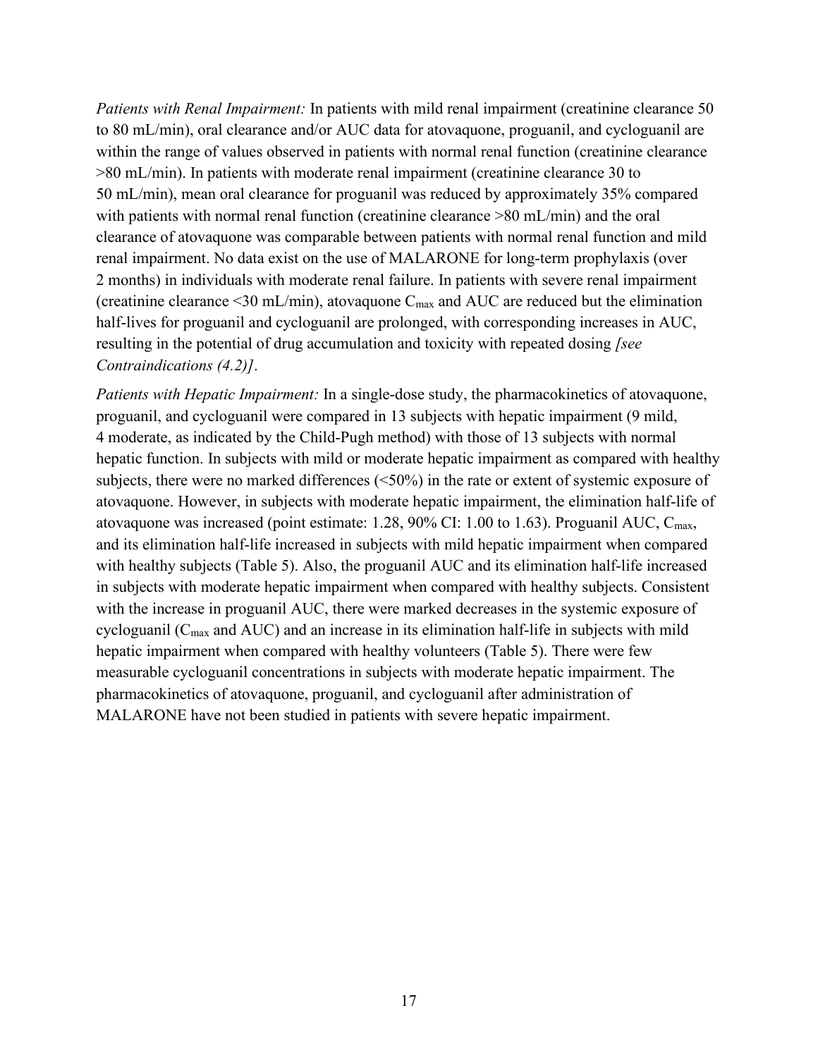*Patients with Renal Impairment:* In patients with mild renal impairment (creatinine clearance 50 to 80 mL/min), oral clearance and/or AUC data for atovaquone, proguanil, and cycloguanil are within the range of values observed in patients with normal renal function (creatinine clearance >80 mL/min). In patients with moderate renal impairment (creatinine clearance 30 to 50 mL/min), mean oral clearance for proguanil was reduced by approximately 35% compared with patients with normal renal function (creatinine clearance  $>80$  mL/min) and the oral clearance of atovaquone was comparable between patients with normal renal function and mild renal impairment. No data exist on the use of MALARONE for long-term prophylaxis (over 2 months) in individuals with moderate renal failure. In patients with severe renal impairment (creatinine clearance  $\leq$ 30 mL/min), atovaquone C<sub>max</sub> and AUC are reduced but the elimination half-lives for proguanil and cycloguanil are prolonged, with corresponding increases in AUC, resulting in the potential of drug accumulation and toxicity with repeated dosing *[see Contraindications (4.2)]*.

*Patients with Hepatic Impairment:* In a single-dose study, the pharmacokinetics of atovaquone, proguanil, and cycloguanil were compared in 13 subjects with hepatic impairment (9 mild, 4 moderate, as indicated by the Child-Pugh method) with those of 13 subjects with normal hepatic function. In subjects with mild or moderate hepatic impairment as compared with healthy subjects, there were no marked differences (<50%) in the rate or extent of systemic exposure of atovaquone. However, in subjects with moderate hepatic impairment, the elimination half-life of atovaquone was increased (point estimate:  $1.28$ ,  $90\%$  CI:  $1.00$  to  $1.63$ ). Proguanil AUC, C<sub>max</sub>, and its elimination half-life increased in subjects with mild hepatic impairment when compared with healthy subjects (Table 5). Also, the proguanil AUC and its elimination half-life increased in subjects with moderate hepatic impairment when compared with healthy subjects. Consistent with the increase in proguanil AUC, there were marked decreases in the systemic exposure of cycloguanil ( $C_{\text{max}}$  and AUC) and an increase in its elimination half-life in subjects with mild hepatic impairment when compared with healthy volunteers (Table 5). There were few measurable cycloguanil concentrations in subjects with moderate hepatic impairment. The pharmacokinetics of atovaquone, proguanil, and cycloguanil after administration of MALARONE have not been studied in patients with severe hepatic impairment.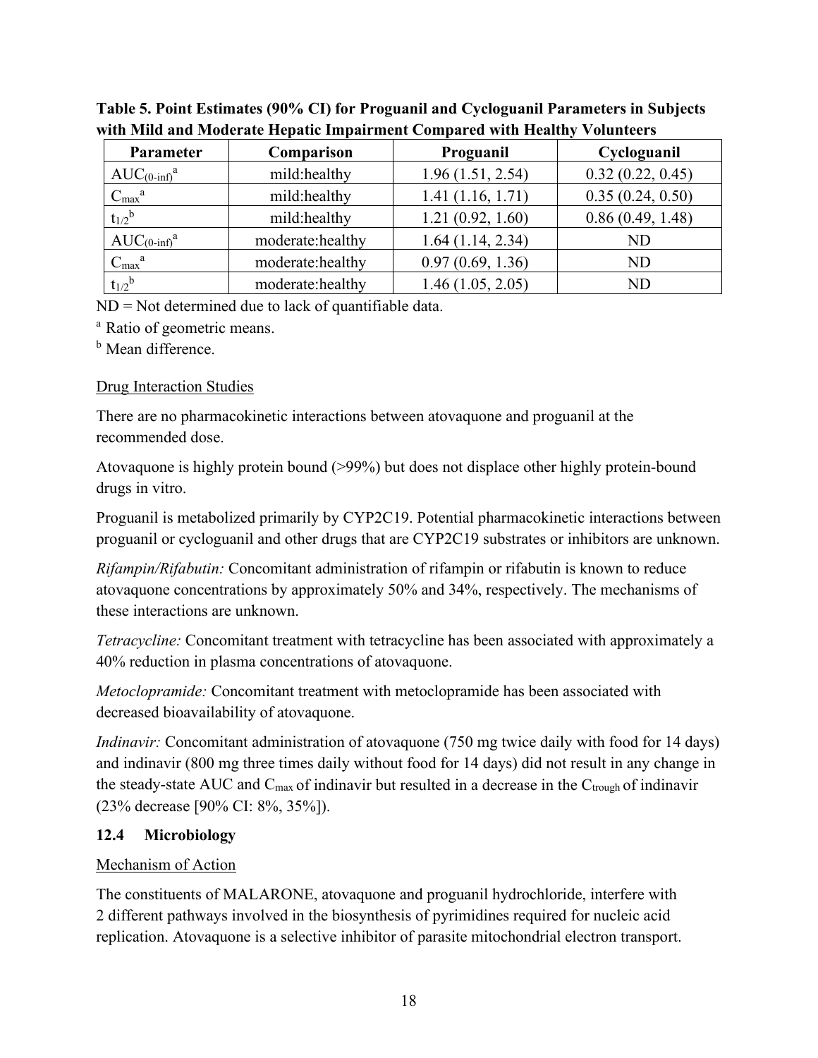| Parameter                | Comparison       | Proguanil        | Cycloguanil      |
|--------------------------|------------------|------------------|------------------|
| $AUC_{(0\text{-inf})}^a$ | mild:healthy     | 1.96(1.51, 2.54) | 0.32(0.22, 0.45) |
| $C_{max}^a$              | mild:healthy     | 1.41(1.16, 1.71) | 0.35(0.24, 0.50) |
| $t_{1/2}$ <sup>b</sup>   | mild:healthy     | 1.21(0.92, 1.60) | 0.86(0.49, 1.48) |
| $AUC_{(0\text{-inf})}^a$ | moderate:healthy | 1.64(1.14, 2.34) | ND               |
| $C_{max}^a$              | moderate:healthy | 0.97(0.69, 1.36) | ND               |
| $t_{1/2}$ <sup>b</sup>   | moderate:healthy | 1.46(1.05, 2.05) | ND               |

**Table 5. Point Estimates (90% CI) for Proguanil and Cycloguanil Parameters in Subjects with Mild and Moderate Hepatic Impairment Compared with Healthy Volunteers**

ND = Not determined due to lack of quantifiable data.

<sup>a</sup> Ratio of geometric means.

<sup>b</sup> Mean difference.

## Drug Interaction Studies

There are no pharmacokinetic interactions between atovaquone and proguanil at the recommended dose.

Atovaquone is highly protein bound (>99%) but does not displace other highly protein-bound drugs in vitro.

Proguanil is metabolized primarily by CYP2C19. Potential pharmacokinetic interactions between proguanil or cycloguanil and other drugs that are CYP2C19 substrates or inhibitors are unknown.

*Rifampin/Rifabutin:* Concomitant administration of rifampin or rifabutin is known to reduce atovaquone concentrations by approximately 50% and 34%, respectively. The mechanisms of these interactions are unknown.

*Tetracycline:* Concomitant treatment with tetracycline has been associated with approximately a 40% reduction in plasma concentrations of atovaquone.

*Metoclopramide:* Concomitant treatment with metoclopramide has been associated with decreased bioavailability of atovaquone.

*Indinavir:* Concomitant administration of atovaquone (750 mg twice daily with food for 14 days) and indinavir (800 mg three times daily without food for 14 days) did not result in any change in the steady-state AUC and  $C_{\text{max}}$  of indinavir but resulted in a decrease in the  $C_{\text{trough}}$  of indinavir (23% decrease [90% CI: 8%, 35%]).

# <span id="page-17-0"></span>**12.4 Microbiology**

# Mechanism of Action

The constituents of MALARONE, atovaquone and proguanil hydrochloride, interfere with 2 different pathways involved in the biosynthesis of pyrimidines required for nucleic acid replication. Atovaquone is a selective inhibitor of parasite mitochondrial electron transport.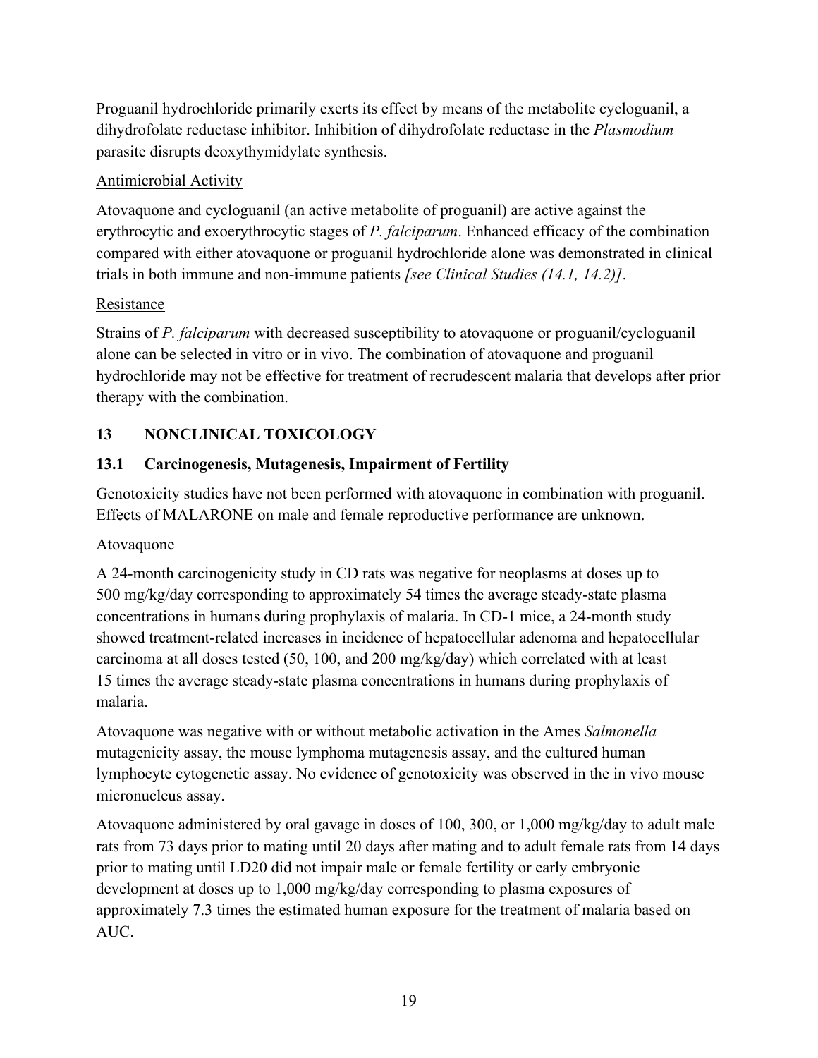Proguanil hydrochloride primarily exerts its effect by means of the metabolite cycloguanil, a dihydrofolate reductase inhibitor. Inhibition of dihydrofolate reductase in the *Plasmodium* parasite disrupts deoxythymidylate synthesis.

### Antimicrobial Activity

Atovaquone and cycloguanil (an active metabolite of proguanil) are active against the erythrocytic and exoerythrocytic stages of *P. falciparum*. Enhanced efficacy of the combination compared with either atovaquone or proguanil hydrochloride alone was demonstrated in clinical trials in both immune and non-immune patients *[see Clinical Studies (14.1, 14.2)]*.

### Resistance

Strains of *P. falciparum* with decreased susceptibility to atovaquone or proguanil/cycloguanil alone can be selected in vitro or in vivo. The combination of atovaquone and proguanil hydrochloride may not be effective for treatment of recrudescent malaria that develops after prior therapy with the combination.

# <span id="page-18-0"></span>**13 NONCLINICAL TOXICOLOGY**

## <span id="page-18-1"></span>**13.1 Carcinogenesis, Mutagenesis, Impairment of Fertility**

Genotoxicity studies have not been performed with atovaquone in combination with proguanil. Effects of MALARONE on male and female reproductive performance are unknown.

## Atovaquone

A 24-month carcinogenicity study in CD rats was negative for neoplasms at doses up to 500 mg/kg/day corresponding to approximately 54 times the average steady-state plasma concentrations in humans during prophylaxis of malaria. In CD-1 mice, a 24-month study showed treatment-related increases in incidence of hepatocellular adenoma and hepatocellular carcinoma at all doses tested (50, 100, and 200 mg/kg/day) which correlated with at least 15 times the average steady-state plasma concentrations in humans during prophylaxis of malaria.

Atovaquone was negative with or without metabolic activation in the Ames *Salmonella*  mutagenicity assay, the mouse lymphoma mutagenesis assay, and the cultured human lymphocyte cytogenetic assay. No evidence of genotoxicity was observed in the in vivo mouse micronucleus assay.

Atovaquone administered by oral gavage in doses of 100, 300, or 1,000 mg/kg/day to adult male rats from 73 days prior to mating until 20 days after mating and to adult female rats from 14 days prior to mating until LD20 did not impair male or female fertility or early embryonic development at doses up to 1,000 mg/kg/day corresponding to plasma exposures of approximately 7.3 times the estimated human exposure for the treatment of malaria based on AUC.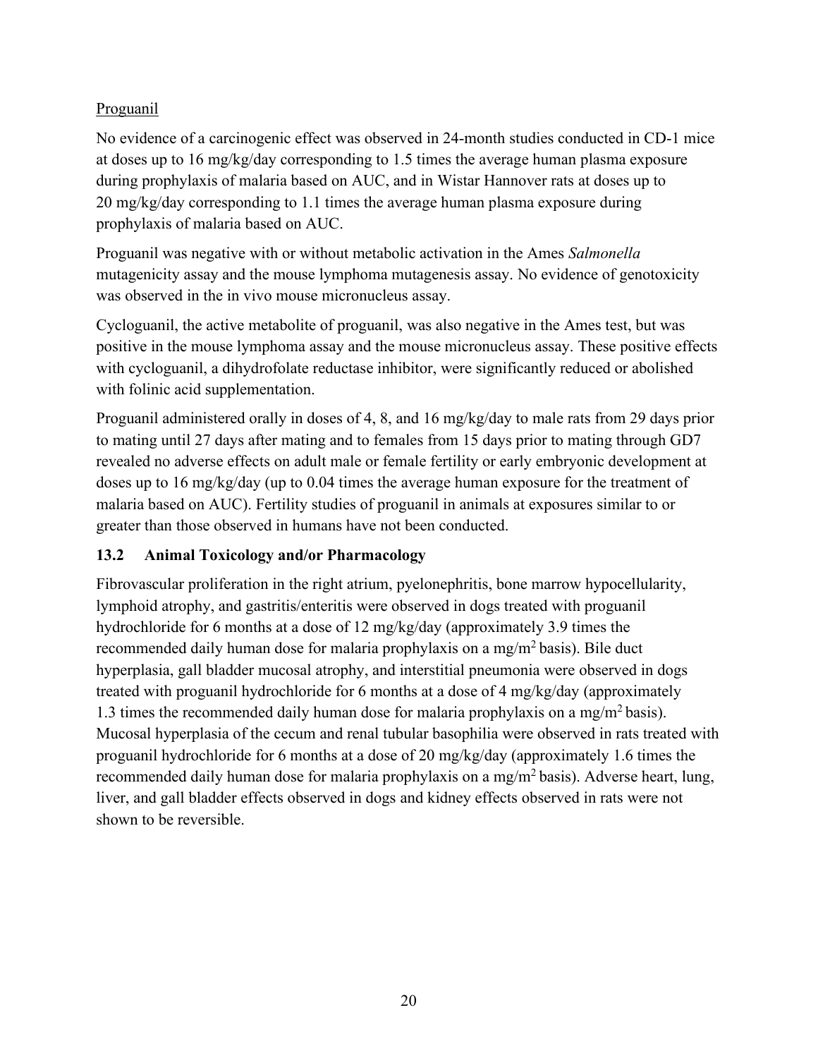# Proguanil

No evidence of a carcinogenic effect was observed in 24-month studies conducted in CD-1 mice at doses up to 16 mg/kg/day corresponding to 1.5 times the average human plasma exposure during prophylaxis of malaria based on AUC, and in Wistar Hannover rats at doses up to 20 mg/kg/day corresponding to 1.1 times the average human plasma exposure during prophylaxis of malaria based on AUC.

Proguanil was negative with or without metabolic activation in the Ames *Salmonella*  mutagenicity assay and the mouse lymphoma mutagenesis assay. No evidence of genotoxicity was observed in the in vivo mouse micronucleus assay.

Cycloguanil, the active metabolite of proguanil, was also negative in the Ames test, but was positive in the mouse lymphoma assay and the mouse micronucleus assay. These positive effects with cycloguanil, a dihydrofolate reductase inhibitor, were significantly reduced or abolished with folinic acid supplementation.

Proguanil administered orally in doses of 4, 8, and 16 mg/kg/day to male rats from 29 days prior to mating until 27 days after mating and to females from 15 days prior to mating through GD7 revealed no adverse effects on adult male or female fertility or early embryonic development at doses up to 16 mg/kg/day (up to 0.04 times the average human exposure for the treatment of malaria based on AUC). Fertility studies of proguanil in animals at exposures similar to or greater than those observed in humans have not been conducted.

# <span id="page-19-0"></span>**13.2 Animal Toxicology and/or Pharmacology**

Fibrovascular proliferation in the right atrium, pyelonephritis, bone marrow hypocellularity, lymphoid atrophy, and gastritis/enteritis were observed in dogs treated with proguanil hydrochloride for 6 months at a dose of 12 mg/kg/day (approximately 3.9 times the recommended daily human dose for malaria prophylaxis on a mg/m<sup>2</sup> basis). Bile duct hyperplasia, gall bladder mucosal atrophy, and interstitial pneumonia were observed in dogs treated with proguanil hydrochloride for 6 months at a dose of 4 mg/kg/day (approximately 1.3 times the recommended daily human dose for malaria prophylaxis on a mg/m<sup>2</sup> basis). Mucosal hyperplasia of the cecum and renal tubular basophilia were observed in rats treated with proguanil hydrochloride for 6 months at a dose of 20 mg/kg/day (approximately 1.6 times the recommended daily human dose for malaria prophylaxis on a mg/m<sup>2</sup> basis). Adverse heart, lung, liver, and gall bladder effects observed in dogs and kidney effects observed in rats were not shown to be reversible.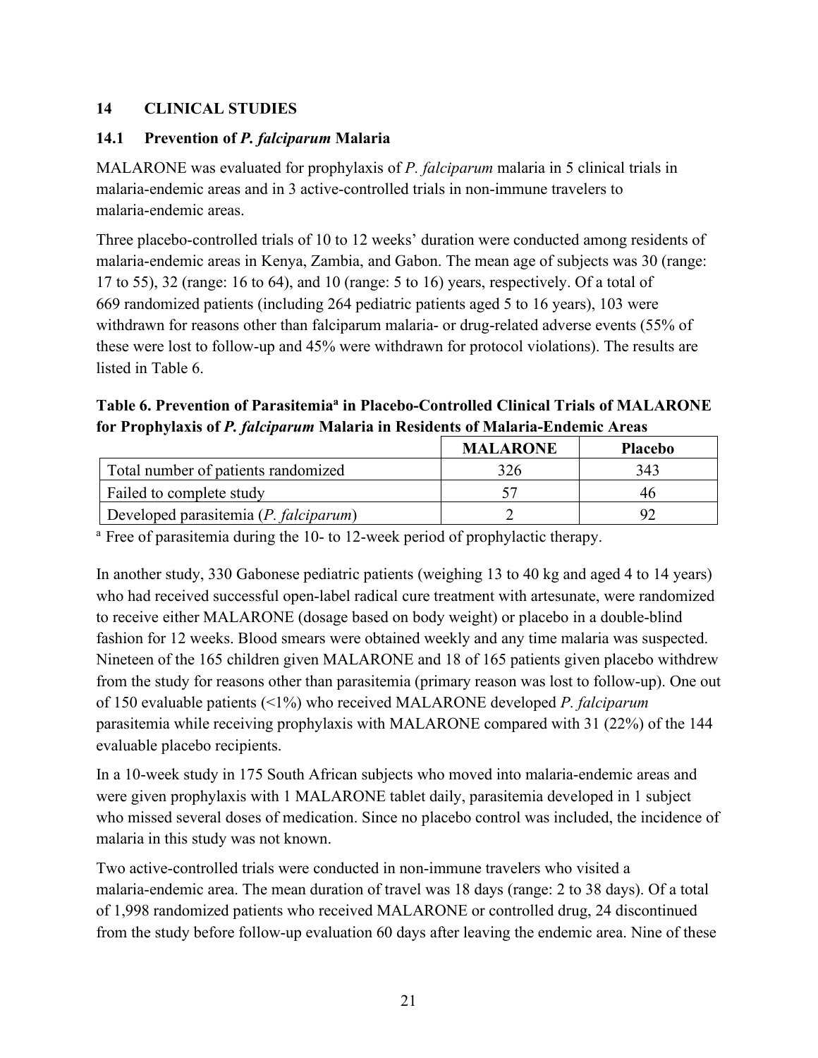# <span id="page-20-0"></span>**14 CLINICAL STUDIES**

## <span id="page-20-1"></span>**14.1 Prevention of** *P. falciparum* **Malaria**

MALARONE was evaluated for prophylaxis of *P. falciparum* malaria in 5 clinical trials in malaria-endemic areas and in 3 active-controlled trials in non-immune travelers to malaria-endemic areas.

Three placebo-controlled trials of 10 to 12 weeks' duration were conducted among residents of malaria-endemic areas in Kenya, Zambia, and Gabon. The mean age of subjects was 30 (range: 17 to 55), 32 (range: 16 to 64), and 10 (range: 5 to 16) years, respectively. Of a total of 669 randomized patients (including 264 pediatric patients aged 5 to 16 years), 103 were withdrawn for reasons other than falciparum malaria- or drug-related adverse events (55% of these were lost to follow-up and 45% were withdrawn for protocol violations). The results are listed in Table 6.

# **Table 6. Prevention of Parasitemiaa in Placebo-Controlled Clinical Trials of MALARONE for Prophylaxis of** *P. falciparum* **Malaria in Residents of Malaria-Endemic Areas**

|                                       | <b>MALARONE</b> | <b>Placebo</b> |
|---------------------------------------|-----------------|----------------|
| Total number of patients randomized   |                 | 343            |
| Failed to complete study              |                 |                |
| Developed parasitemia (P. falciparum) |                 |                |

<sup>a</sup> Free of parasitemia during the 10- to 12-week period of prophylactic therapy.

In another study, 330 Gabonese pediatric patients (weighing 13 to 40 kg and aged 4 to 14 years) who had received successful open-label radical cure treatment with artesunate, were randomized to receive either MALARONE (dosage based on body weight) or placebo in a double-blind fashion for 12 weeks. Blood smears were obtained weekly and any time malaria was suspected. Nineteen of the 165 children given MALARONE and 18 of 165 patients given placebo withdrew from the study for reasons other than parasitemia (primary reason was lost to follow-up). One out of 150 evaluable patients (<1%) who received MALARONE developed *P. falciparum*  parasitemia while receiving prophylaxis with MALARONE compared with 31 (22%) of the 144 evaluable placebo recipients.

In a 10-week study in 175 South African subjects who moved into malaria-endemic areas and were given prophylaxis with 1 MALARONE tablet daily, parasitemia developed in 1 subject who missed several doses of medication. Since no placebo control was included, the incidence of malaria in this study was not known.

Two active-controlled trials were conducted in non-immune travelers who visited a malaria-endemic area. The mean duration of travel was 18 days (range: 2 to 38 days). Of a total of 1,998 randomized patients who received MALARONE or controlled drug, 24 discontinued from the study before follow-up evaluation 60 days after leaving the endemic area. Nine of these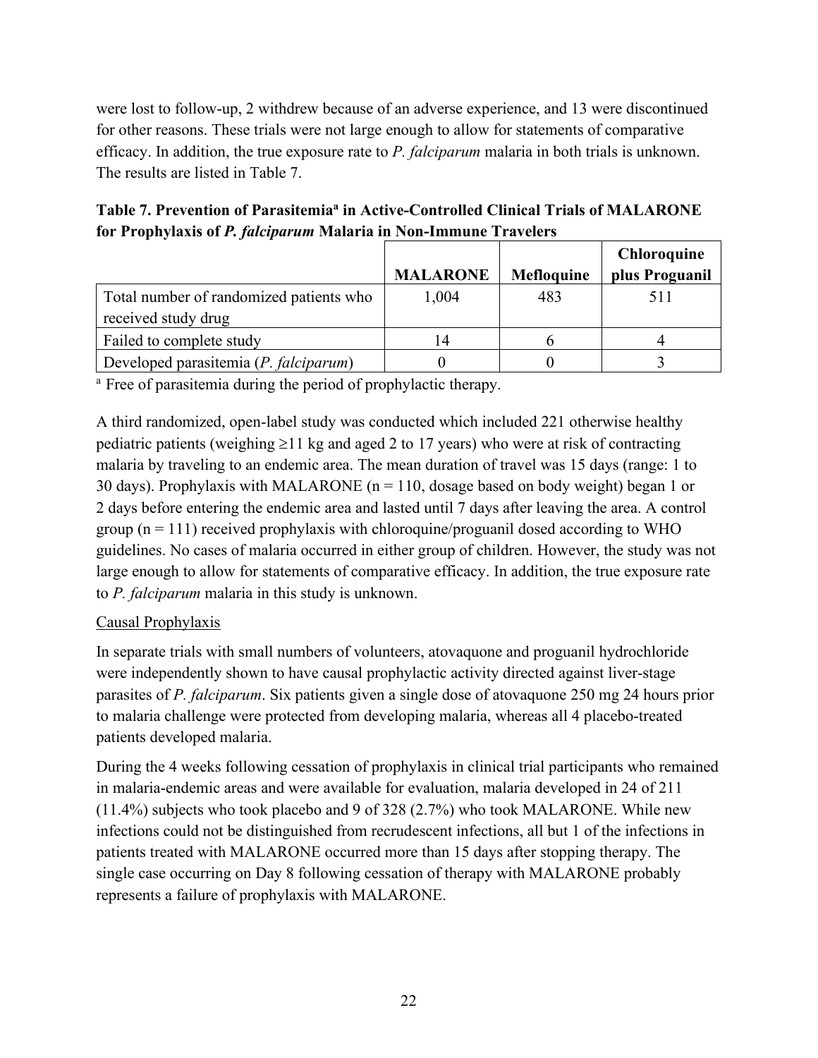were lost to follow-up, 2 withdrew because of an adverse experience, and 13 were discontinued for other reasons. These trials were not large enough to allow for statements of comparative efficacy. In addition, the true exposure rate to *P. falciparum* malaria in both trials is unknown. The results are listed in Table 7.

| Table 7. Prevention of Parasitemia <sup>a</sup> in Active-Controlled Clinical Trials of MALARONE |
|--------------------------------------------------------------------------------------------------|
| for Prophylaxis of P. falciparum Malaria in Non-Immune Travelers                                 |

|                                                                |                 |                   | <b>Chloroquine</b> |
|----------------------------------------------------------------|-----------------|-------------------|--------------------|
|                                                                | <b>MALARONE</b> | <b>Mefloquine</b> | plus Proguanil     |
| Total number of randomized patients who<br>received study drug | 1,004           | 483               | 511                |
| Failed to complete study                                       | 14              |                   |                    |
| Developed parasitemia (P. falciparum)                          |                 |                   |                    |

<sup>a</sup> Free of parasitemia during the period of prophylactic therapy.

A third randomized, open-label study was conducted which included 221 otherwise healthy pediatric patients (weighing  $\geq$ 11 kg and aged 2 to 17 years) who were at risk of contracting malaria by traveling to an endemic area. The mean duration of travel was 15 days (range: 1 to 30 days). Prophylaxis with MALARONE ( $n = 110$ , dosage based on body weight) began 1 or 2 days before entering the endemic area and lasted until 7 days after leaving the area. A control group  $(n = 111)$  received prophylaxis with chloroquine/proguanil dosed according to WHO guidelines. No cases of malaria occurred in either group of children. However, the study was not large enough to allow for statements of comparative efficacy. In addition, the true exposure rate to *P. falciparum* malaria in this study is unknown.

## Causal Prophylaxis

In separate trials with small numbers of volunteers, atovaquone and proguanil hydrochloride were independently shown to have causal prophylactic activity directed against liver-stage parasites of *P. falciparum*. Six patients given a single dose of atovaquone 250 mg 24 hours prior to malaria challenge were protected from developing malaria, whereas all 4 placebo-treated patients developed malaria.

During the 4 weeks following cessation of prophylaxis in clinical trial participants who remained in malaria-endemic areas and were available for evaluation, malaria developed in 24 of 211 (11.4%) subjects who took placebo and 9 of 328 (2.7%) who took MALARONE. While new infections could not be distinguished from recrudescent infections, all but 1 of the infections in patients treated with MALARONE occurred more than 15 days after stopping therapy. The single case occurring on Day 8 following cessation of therapy with MALARONE probably represents a failure of prophylaxis with MALARONE.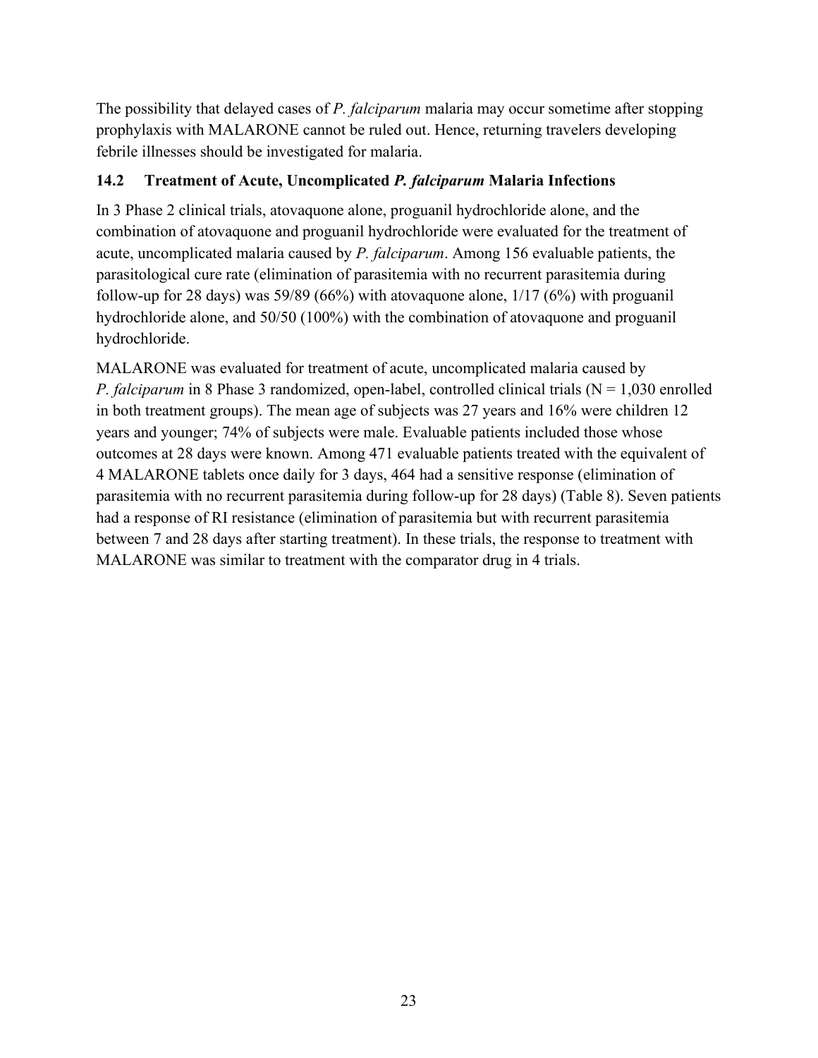The possibility that delayed cases of *P. falciparum* malaria may occur sometime after stopping prophylaxis with MALARONE cannot be ruled out. Hence, returning travelers developing febrile illnesses should be investigated for malaria.

### <span id="page-22-0"></span>**14.2 Treatment of Acute, Uncomplicated** *P. falciparum* **Malaria Infections**

In 3 Phase 2 clinical trials, atovaquone alone, proguanil hydrochloride alone, and the combination of atovaquone and proguanil hydrochloride were evaluated for the treatment of acute, uncomplicated malaria caused by *P. falciparum*. Among 156 evaluable patients, the parasitological cure rate (elimination of parasitemia with no recurrent parasitemia during follow-up for 28 days) was 59/89 (66%) with atovaquone alone,  $1/17$  (6%) with proguanil hydrochloride alone, and 50/50 (100%) with the combination of atovaquone and proguanil hydrochloride.

MALARONE was evaluated for treatment of acute, uncomplicated malaria caused by *P. falciparum* in 8 Phase 3 randomized, open-label, controlled clinical trials  $(N = 1,030$  enrolled in both treatment groups). The mean age of subjects was 27 years and 16% were children 12 years and younger; 74% of subjects were male. Evaluable patients included those whose outcomes at 28 days were known. Among 471 evaluable patients treated with the equivalent of 4 MALARONE tablets once daily for 3 days, 464 had a sensitive response (elimination of parasitemia with no recurrent parasitemia during follow-up for 28 days) (Table 8). Seven patients had a response of RI resistance (elimination of parasitemia but with recurrent parasitemia between 7 and 28 days after starting treatment). In these trials, the response to treatment with MALARONE was similar to treatment with the comparator drug in 4 trials.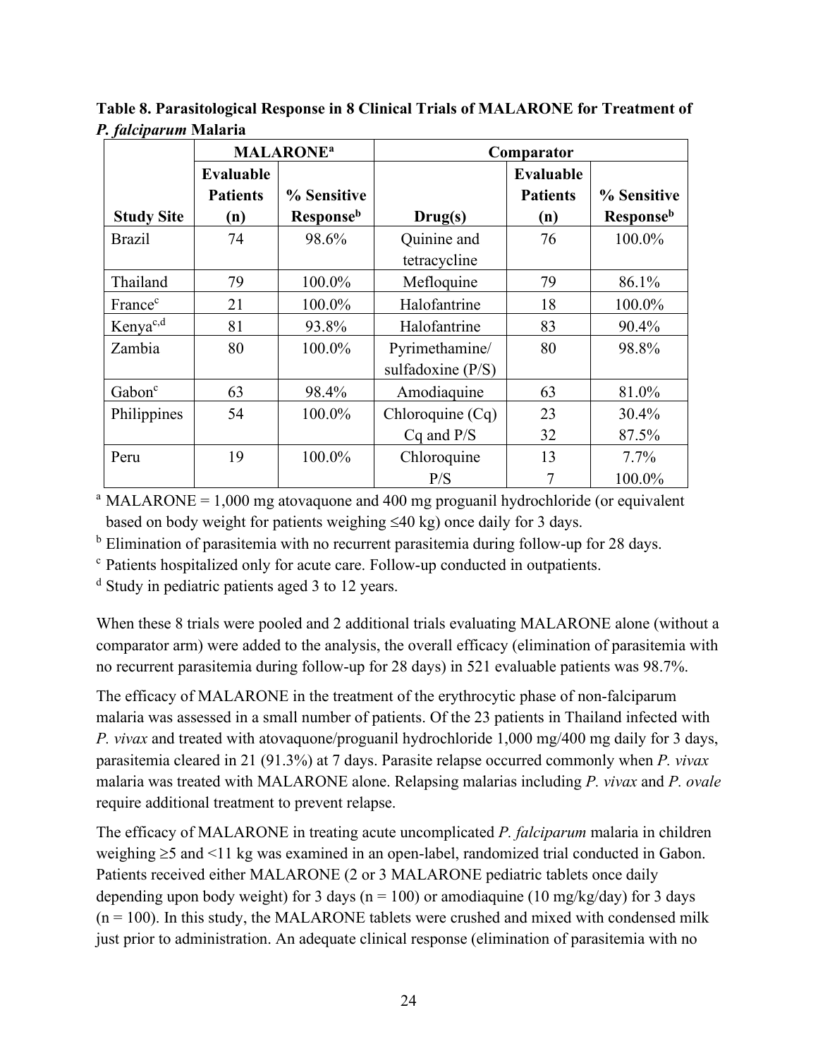|                      |                                     | <b>MALARONE<sup>a</sup></b>  | Comparator                            |                                     |                   |  |
|----------------------|-------------------------------------|------------------------------|---------------------------------------|-------------------------------------|-------------------|--|
|                      | <b>Evaluable</b><br><b>Patients</b> | % Sensitive                  |                                       | <b>Evaluable</b><br><b>Patients</b> | % Sensitive       |  |
| <b>Study Site</b>    | (n)                                 | <b>Response</b> <sup>b</sup> | Drug(s)                               | (n)                                 | <b>Response</b> b |  |
| <b>Brazil</b>        | 74                                  | 98.6%                        | Quinine and<br>tetracycline           | 76                                  | 100.0%            |  |
| Thailand             | 79                                  | 100.0%                       | Mefloquine                            | 79                                  | 86.1%             |  |
| France <sup>c</sup>  | 21                                  | 100.0%                       | Halofantrine                          | 18                                  | 100.0%            |  |
| Kenya <sup>c,d</sup> | 81                                  | 93.8%                        | Halofantrine                          | 83                                  | 90.4%             |  |
| Zambia               | 80                                  | 100.0%                       | Pyrimethamine/<br>sulfadoxine $(P/S)$ | 80                                  | 98.8%             |  |
| Gabon <sup>c</sup>   | 63                                  | 98.4%                        | Amodiaquine                           | 63                                  | 81.0%             |  |
| Philippines          | 54                                  | 100.0%                       | Chloroquine $(Cq)$<br>$Cq$ and $P/S$  | 23<br>32                            | 30.4%<br>87.5%    |  |
| Peru                 | 19                                  | 100.0%                       | Chloroquine<br>P/S                    | 13                                  | $7.7\%$<br>100.0% |  |

**Table 8. Parasitological Response in 8 Clinical Trials of MALARONE for Treatment of**  *P. falciparum* **Malaria**

<sup>a</sup> MALARONE =  $1,000$  mg atovaquone and 400 mg proguanil hydrochloride (or equivalent based on body weight for patients weighing ≤40 kg) once daily for 3 days.

<sup>b</sup> Elimination of parasitemia with no recurrent parasitemia during follow-up for 28 days.

<sup>c</sup> Patients hospitalized only for acute care. Follow-up conducted in outpatients.

 $d$  Study in pediatric patients aged 3 to 12 years.

When these 8 trials were pooled and 2 additional trials evaluating MALARONE alone (without a comparator arm) were added to the analysis, the overall efficacy (elimination of parasitemia with no recurrent parasitemia during follow-up for 28 days) in 521 evaluable patients was 98.7%.

The efficacy of MALARONE in the treatment of the erythrocytic phase of non-falciparum malaria was assessed in a small number of patients. Of the 23 patients in Thailand infected with *P. vivax* and treated with atovaquone/proguanil hydrochloride 1,000 mg/400 mg daily for 3 days, parasitemia cleared in 21 (91.3%) at 7 days. Parasite relapse occurred commonly when *P. vivax* malaria was treated with MALARONE alone. Relapsing malarias including *P. vivax* and *P. ovale* require additional treatment to prevent relapse.

The efficacy of MALARONE in treating acute uncomplicated *P. falciparum* malaria in children weighing ≥5 and <11 kg was examined in an open-label, randomized trial conducted in Gabon. Patients received either MALARONE (2 or 3 MALARONE pediatric tablets once daily depending upon body weight) for 3 days ( $n = 100$ ) or amodiaquine (10 mg/kg/day) for 3 days  $(n = 100)$ . In this study, the MALARONE tablets were crushed and mixed with condensed milk just prior to administration. An adequate clinical response (elimination of parasitemia with no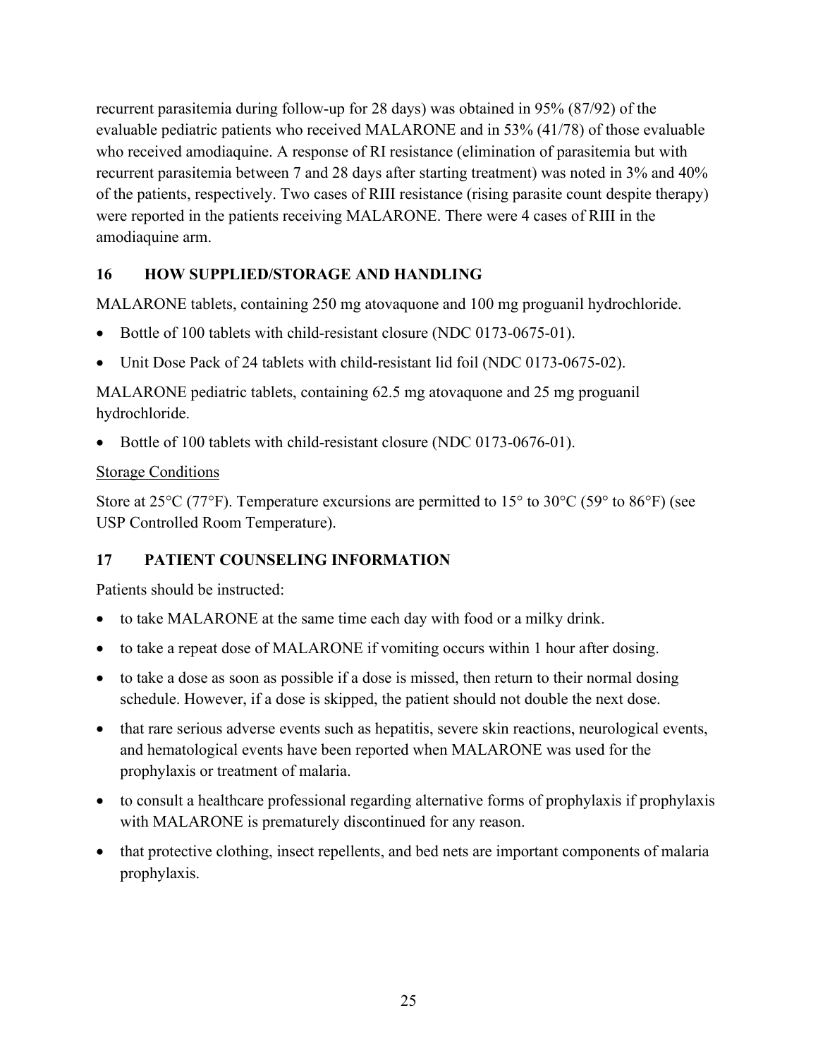recurrent parasitemia during follow-up for 28 days) was obtained in 95% (87/92) of the evaluable pediatric patients who received MALARONE and in 53% (41/78) of those evaluable who received amodiaquine. A response of RI resistance (elimination of parasitemia but with recurrent parasitemia between 7 and 28 days after starting treatment) was noted in 3% and 40% of the patients, respectively. Two cases of RIII resistance (rising parasite count despite therapy) were reported in the patients receiving MALARONE. There were 4 cases of RIII in the amodiaquine arm.

## <span id="page-24-0"></span>**16 HOW SUPPLIED/STORAGE AND HANDLING**

MALARONE tablets, containing 250 mg atovaquone and 100 mg proguanil hydrochloride.

- Bottle of 100 tablets with child-resistant closure (NDC 0173-0675-01).
- Unit Dose Pack of 24 tablets with child-resistant lid foil (NDC 0173-0675-02).

MALARONE pediatric tablets, containing 62.5 mg atovaquone and 25 mg proguanil hydrochloride.

• Bottle of 100 tablets with child-resistant closure (NDC 0173-0676-01).

## Storage Conditions

Store at 25 $\rm{^{\circ}C}$  (77 $\rm{^{\circ}F}$ ). Temperature excursions are permitted to 15 $\rm{^{\circ}}$  to 30 $\rm{^{\circ}C}$  (59 $\rm{^{\circ}}$  to 86 $\rm{^{\circ}F}$ ) (see USP Controlled Room Temperature).

# <span id="page-24-1"></span>**17 PATIENT COUNSELING INFORMATION**

Patients should be instructed:

- to take MALARONE at the same time each day with food or a milky drink.
- to take a repeat dose of MALARONE if vomiting occurs within 1 hour after dosing.
- to take a dose as soon as possible if a dose is missed, then return to their normal dosing schedule. However, if a dose is skipped, the patient should not double the next dose.
- that rare serious adverse events such as hepatitis, severe skin reactions, neurological events, and hematological events have been reported when MALARONE was used for the prophylaxis or treatment of malaria.
- to consult a healthcare professional regarding alternative forms of prophylaxis if prophylaxis with MALARONE is prematurely discontinued for any reason.
- that protective clothing, insect repellents, and bed nets are important components of malaria prophylaxis.